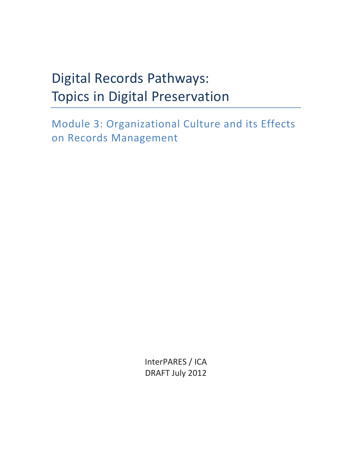# Digital Records Pathways: Topics in Digital Preservation

Module 3: Organizational Culture and its Effects on Records Management

> InterPARES / ICA DRAFT July 2012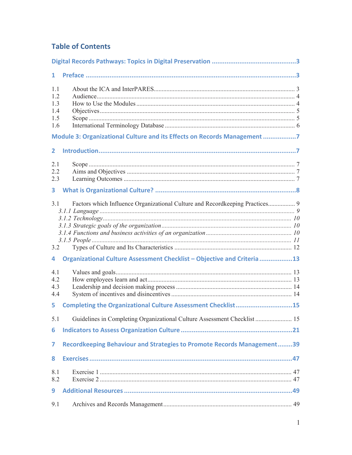# **Table of Contents**

| 1.                                           |                                                                               |  |
|----------------------------------------------|-------------------------------------------------------------------------------|--|
| 1.1<br>1.2<br>1.3<br>1.4<br>1.5<br>1.6       |                                                                               |  |
|                                              | Module 3: Organizational Culture and its Effects on Records Management 7      |  |
| $\mathbf{2}$                                 |                                                                               |  |
| 2.1<br>2.2<br>2.3<br>$\overline{\mathbf{3}}$ |                                                                               |  |
| 3.1                                          |                                                                               |  |
| 3.2                                          |                                                                               |  |
| 4                                            | Organizational Culture Assessment Checklist - Objective and Criteria 13       |  |
| 4.1<br>4.2<br>4.3<br>4.4                     |                                                                               |  |
| 5.                                           | Completing the Organizational Culture Assessment Checklist15                  |  |
| 5.1<br>6                                     | Guidelines in Completing Organizational Culture Assessment Checklist  15      |  |
| 7                                            | <b>Recordkeeping Behaviour and Strategies to Promote Records Management39</b> |  |
| 8                                            |                                                                               |  |
| 8.1<br>8.2<br>9                              |                                                                               |  |
| 9.1                                          |                                                                               |  |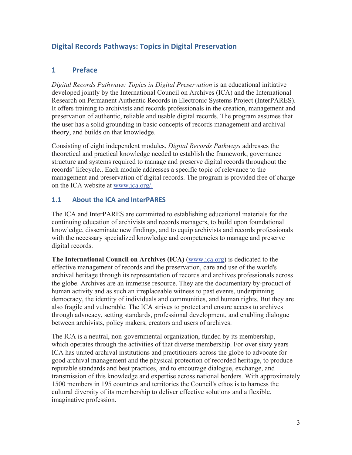# **Digital Records Pathways: Topics in Digital Preservation**

# **1 Preface**

*Digital Records Pathways: Topics in Digital Preservation* is an educational initiative developed jointly by the International Council on Archives (ICA) and the International Research on Permanent Authentic Records in Electronic Systems Project (InterPARES). It offers training to archivists and records professionals in the creation, management and preservation of authentic, reliable and usable digital records. The program assumes that the user has a solid grounding in basic concepts of records management and archival theory, and builds on that knowledge.

Consisting of eight independent modules, *Digital Records Pathways* addresses the theoretical and practical knowledge needed to establish the framework, governance structure and systems required to manage and preserve digital records throughout the records' lifecycle.. Each module addresses a specific topic of relevance to the management and preservation of digital records. The program is provided free of charge on the ICA website at www.ica.org/.

## **1.1 About the ICA and InterPARES**

The ICA and InterPARES are committed to establishing educational materials for the continuing education of archivists and records managers, to build upon foundational knowledge, disseminate new findings, and to equip archivists and records professionals with the necessary specialized knowledge and competencies to manage and preserve digital records.

**The International Council on Archives (ICA)** (www.ica.org) is dedicated to the effective management of records and the preservation, care and use of the world's archival heritage through its representation of records and archives professionals across the globe. Archives are an immense resource. They are the documentary by-product of human activity and as such an irreplaceable witness to past events, underpinning democracy, the identity of individuals and communities, and human rights. But they are also fragile and vulnerable. The ICA strives to protect and ensure access to archives through advocacy, setting standards, professional development, and enabling dialogue between archivists, policy makers, creators and users of archives.

The ICA is a neutral, non-governmental organization, funded by its membership, which operates through the activities of that diverse membership. For over sixty years ICA has united archival institutions and practitioners across the globe to advocate for good archival management and the physical protection of recorded heritage, to produce reputable standards and best practices, and to encourage dialogue, exchange, and transmission of this knowledge and expertise across national borders. With approximately 1500 members in 195 countries and territories the Council's ethos is to harness the cultural diversity of its membership to deliver effective solutions and a flexible, imaginative profession.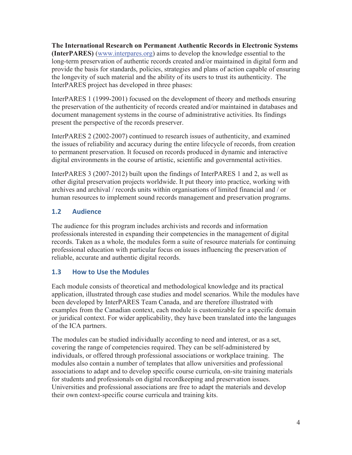**The International Research on Permanent Authentic Records in Electronic Systems (InterPARES)** (www.interpares.org) aims to develop the knowledge essential to the long-term preservation of authentic records created and/or maintained in digital form and provide the basis for standards, policies, strategies and plans of action capable of ensuring the longevity of such material and the ability of its users to trust its authenticity. The InterPARES project has developed in three phases:

InterPARES 1 (1999-2001) focused on the development of theory and methods ensuring the preservation of the authenticity of records created and/or maintained in databases and document management systems in the course of administrative activities. Its findings present the perspective of the records preserver.

InterPARES 2 (2002-2007) continued to research issues of authenticity, and examined the issues of reliability and accuracy during the entire lifecycle of records, from creation to permanent preservation. It focused on records produced in dynamic and interactive digital environments in the course of artistic, scientific and governmental activities.

InterPARES 3 (2007-2012) built upon the findings of InterPARES 1 and 2, as well as other digital preservation projects worldwide. It put theory into practice, working with archives and archival / records units within organisations of limited financial and / or human resources to implement sound records management and preservation programs.

# **1.2 Audience**

The audience for this program includes archivists and records and information professionals interested in expanding their competencies in the management of digital records. Taken as a whole, the modules form a suite of resource materials for continuing professional education with particular focus on issues influencing the preservation of reliable, accurate and authentic digital records.

# **1.3 How to Use the Modules**

Each module consists of theoretical and methodological knowledge and its practical application, illustrated through case studies and model scenarios. While the modules have been developed by InterPARES Team Canada, and are therefore illustrated with examples from the Canadian context, each module is customizable for a specific domain or juridical context. For wider applicability, they have been translated into the languages of the ICA partners.

The modules can be studied individually according to need and interest, or as a set, covering the range of competencies required. They can be self-administered by individuals, or offered through professional associations or workplace training. The modules also contain a number of templates that allow universities and professional associations to adapt and to develop specific course curricula, on-site training materials for students and professionals on digital recordkeeping and preservation issues. Universities and professional associations are free to adapt the materials and develop their own context-specific course curricula and training kits.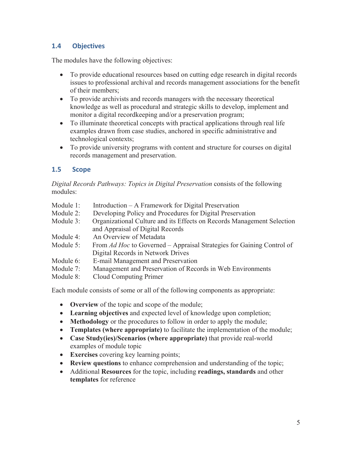# **1.4 Objectives**

The modules have the following objectives:

- x To provide educational resources based on cutting edge research in digital records issues to professional archival and records management associations for the benefit of their members;
- To provide archivists and records managers with the necessary theoretical knowledge as well as procedural and strategic skills to develop, implement and monitor a digital recordkeeping and/or a preservation program;
- To illuminate theoretical concepts with practical applications through real life examples drawn from case studies, anchored in specific administrative and technological contexts;
- To provide university programs with content and structure for courses on digital records management and preservation.

# **1.5 Scope**

*Digital Records Pathways: Topics in Digital Preservation* consists of the following modules:

- Module 1: Introduction A Framework for Digital Preservation
- Module 2: Developing Policy and Procedures for Digital Preservation
- Module 3: Organizational Culture and its Effects on Records Management Selection and Appraisal of Digital Records
- Module 4: An Overview of Metadata
- Module 5: From *Ad Hoc* to Governed Appraisal Strategies for Gaining Control of Digital Records in Network Drives
- Module 6: E-mail Management and Preservation
- Module 7: Management and Preservation of Records in Web Environments
- Module 8: Cloud Computing Primer

Each module consists of some or all of the following components as appropriate:

- **Overview** of the topic and scope of the module;
- x **Learning objectives** and expected level of knowledge upon completion;
- **Methodology** or the procedures to follow in order to apply the module;
- **Templates (where appropriate)** to facilitate the implementation of the module;
- x **Case Study(ies)/Scenarios (where appropriate)** that provide real-world examples of module topic
- **Exercises** covering key learning points;
- **Review questions** to enhance comprehension and understanding of the topic;
- x Additional **Resources** for the topic, including **readings, standards** and other **templates** for reference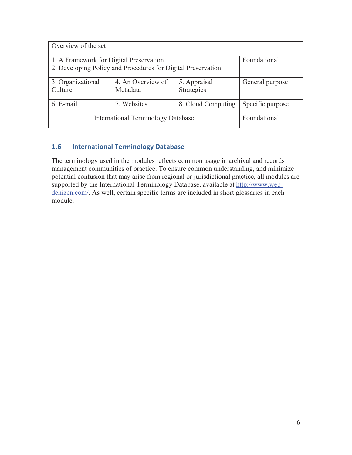| Overview of the set                                                                                                     |                               |                            |                 |  |
|-------------------------------------------------------------------------------------------------------------------------|-------------------------------|----------------------------|-----------------|--|
| Foundational<br>1. A Framework for Digital Preservation<br>2. Developing Policy and Procedures for Digital Preservation |                               |                            |                 |  |
| 3. Organizational<br>Culture                                                                                            | 4. An Overview of<br>Metadata | 5. Appraisal<br>Strategies | General purpose |  |
| 7. Websites<br>6. E-mail<br>Specific purpose<br>8. Cloud Computing                                                      |                               |                            |                 |  |
| <b>International Terminology Database</b>                                                                               | Foundational                  |                            |                 |  |

# **1.6 International Terminology Database**

The terminology used in the modules reflects common usage in archival and records management communities of practice. To ensure common understanding, and minimize potential confusion that may arise from regional or jurisdictional practice, all modules are supported by the International Terminology Database, available at http://www.webdenizen.com/. As well, certain specific terms are included in short glossaries in each module.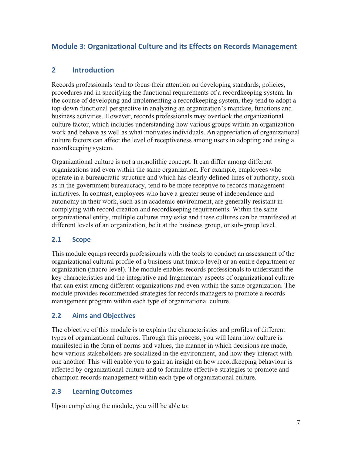# **Module 3: Organizational Culture and its Effects on Records Management**

# **2 Introduction**

Records professionals tend to focus their attention on developing standards, policies, procedures and in specifying the functional requirements of a recordkeeping system. In the course of developing and implementing a recordkeeping system, they tend to adopt a top-down functional perspective in analyzing an organization's mandate, functions and business activities. However, records professionals may overlook the organizational culture factor, which includes understanding how various groups within an organization work and behave as well as what motivates individuals. An appreciation of organizational culture factors can affect the level of receptiveness among users in adopting and using a recordkeeping system.

Organizational culture is not a monolithic concept. It can differ among different organizations and even within the same organization. For example, employees who operate in a bureaucratic structure and which has clearly defined lines of authority, such as in the government bureaucracy, tend to be more receptive to records management initiatives. In contrast, employees who have a greater sense of independence and autonomy in their work, such as in academic environment, are generally resistant in complying with record creation and recordkeeping requirements. Within the same organizational entity, multiple cultures may exist and these cultures can be manifested at different levels of an organization, be it at the business group, or sub-group level.

#### **2.1 Scope**

This module equips records professionals with the tools to conduct an assessment of the organizational cultural profile of a business unit (micro level) or an entire department or organization (macro level). The module enables records professionals to understand the key characteristics and the integrative and fragmentary aspects of organizational culture that can exist among different organizations and even within the same organization. The module provides recommended strategies for records managers to promote a records management program within each type of organizational culture.

## **2.2 Aims and Objectives**

The objective of this module is to explain the characteristics and profiles of different types of organizational cultures. Through this process, you will learn how culture is manifested in the form of norms and values, the manner in which decisions are made, how various stakeholders are socialized in the environment, and how they interact with one another. This will enable you to gain an insight on how recordkeeping behaviour is affected by organizational culture and to formulate effective strategies to promote and champion records management within each type of organizational culture.

#### **2.3 Learning Outcomes**

Upon completing the module, you will be able to: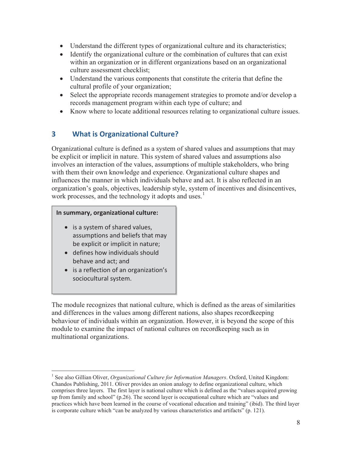- Understand the different types of organizational culture and its characteristics;
- Identify the organizational culture or the combination of cultures that can exist within an organization or in different organizations based on an organizational culture assessment checklist;
- Understand the various components that constitute the criteria that define the cultural profile of your organization;
- $\bullet$  Select the appropriate records management strategies to promote and/or develop a records management program within each type of culture; and
- Know where to locate additional resources relating to organizational culture issues.

# **3 What is Organizational Culture?**

Organizational culture is defined as a system of shared values and assumptions that may be explicit or implicit in nature. This system of shared values and assumptions also involves an interaction of the values, assumptions of multiple stakeholders, who bring with them their own knowledge and experience. Organizational culture shapes and influences the manner in which individuals behave and act. It is also reflected in an organization's goals, objectives, leadership style, system of incentives and disincentives, work processes, and the technology it adopts and uses.<sup>1</sup>

#### **In summary, organizational culture:**

- $\bullet$  is a system of shared values, assumptions and beliefs that may be explicit or implicit in nature;
- $\bullet$  defines how individuals should behave and act; and

 $\overline{a}$ 

• is a reflection of an organization's sociocultural system.

The module recognizes that national culture, which is defined as the areas of similarities and differences in the values among different nations, also shapes recordkeeping behaviour of individuals within an organization. However, it is beyond the scope of this module to examine the impact of national cultures on recordkeeping such as in multinational organizations.

<sup>&</sup>lt;sup>1</sup> See also Gillian Oliver, *Organizational Culture for Information Managers*. Oxford, United Kingdom: Chandos Publishing, 2011. Oliver provides an onion analogy to define organizational culture, which comprises three layers. The first layer is national culture which is defined as the "values acquired growing up from family and school" (p.26). The second layer is occupational culture which are "values and practices which have been learned in the course of vocational education and training" (ibid). The third layer is corporate culture which "can be analyzed by various characteristics and artifacts" (p. 121).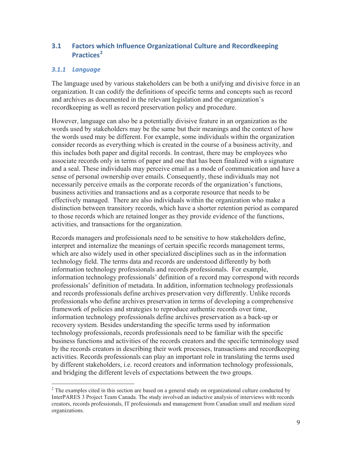# **3.1 Factors which Influence Organizational Culture and Recordkeeping Practices<sup>2</sup>**

#### *3.1.1 Language*

 $\overline{a}$ 

The language used by various stakeholders can be both a unifying and divisive force in an organization. It can codify the definitions of specific terms and concepts such as record and archives as documented in the relevant legislation and the organization's recordkeeping as well as record preservation policy and procedure.

However, language can also be a potentially divisive feature in an organization as the words used by stakeholders may be the same but their meanings and the context of how the words used may be different. For example, some individuals within the organization consider records as everything which is created in the course of a business activity, and this includes both paper and digital records. In contrast, there may be employees who associate records only in terms of paper and one that has been finalized with a signature and a seal. These individuals may perceive email as a mode of communication and have a sense of personal ownership over emails. Consequently, these individuals may not necessarily perceive emails as the corporate records of the organization's functions, business activities and transactions and as a corporate resource that needs to be effectively managed. There are also individuals within the organization who make a distinction between transitory records, which have a shorter retention period as compared to those records which are retained longer as they provide evidence of the functions, activities, and transactions for the organization.

Records managers and professionals need to be sensitive to how stakeholders define, interpret and internalize the meanings of certain specific records management terms, which are also widely used in other specialized disciplines such as in the information technology field. The terms data and records are understood differently by both information technology professionals and records professionals. For example, information technology professionals' definition of a record may correspond with records professionals' definition of metadata. In addition, information technology professionals and records professionals define archives preservation very differently. Unlike records professionals who define archives preservation in terms of developing a comprehensive framework of policies and strategies to reproduce authentic records over time, information technology professionals define archives preservation as a back-up or recovery system. Besides understanding the specific terms used by information technology professionals, records professionals need to be familiar with the specific business functions and activities of the records creators and the specific terminology used by the records creators in describing their work processes, transactions and recordkeeping activities. Records professionals can play an important role in translating the terms used by different stakeholders, i.e. record creators and information technology professionals, and bridging the different levels of expectations between the two groups.

 $2^2$  The examples cited in this section are based on a general study on organizational culture conducted by InterPARES 3 Project Team Canada. The study involved an inductive analysis of interviews with records creators, records professionals, IT professionals and management from Canadian small and medium sized organizations.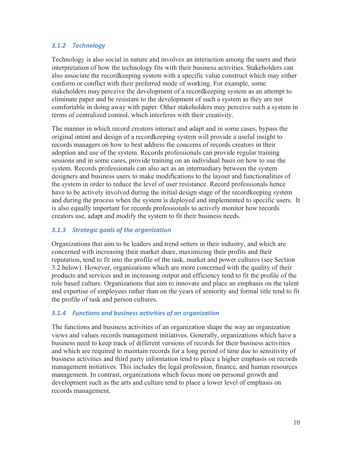#### *3.1.2 Technology*

Technology is also social in nature and involves an interaction among the users and their interpretation of how the technology fits with their business activities. Stakeholders can also associate the recordkeeping system with a specific value construct which may either conform or conflict with their preferred mode of working. For example, some stakeholders may perceive the development of a recordkeeping system as an attempt to eliminate paper and be resistant to the development of such a system as they are not comfortable in doing away with paper. Other stakeholders may perceive such a system in terms of centralized control, which interferes with their creativity.

The manner in which record creators interact and adapt and in some cases, bypass the original intent and design of a recordkeeping system will provide a useful insight to records managers on how to best address the concerns of records creators in their adoption and use of the system. Records professionals can provide regular training sessions and in some cases, provide training on an individual basis on how to use the system. Records professionals can also act as an intermediary between the system designers and business users to make modifications to the layout and functionalities of the system in order to reduce the level of user resistance. Record professionals hence have to be actively involved during the initial design stage of the recordkeeping system and during the process when the system is deployed and implemented to specific users. It is also equally important for records professionals to actively monitor how records creators use, adapt and modify the system to fit their business needs.

#### *3.1.3 Strategic goals of the organization*

Organizations that aim to be leaders and trend setters in their industry, and which are concerned with increasing their market share, maximizing their profits and their reputation, tend to fit into the profile of the task, market and power cultures (see Section 3.2 below). However, organizations which are more concerned with the quality of their products and services and in increasing output and efficiency tend to fit the profile of the role based culture. Organizations that aim to innovate and place an emphasis on the talent and expertise of employees rather than on the years of seniority and formal title tend to fit the profile of task and person cultures.

#### *3.1.4 Functions and business activities of an organization*

The functions and business activities of an organization shape the way an organization views and values records management initiatives. Generally, organizations which have a business need to keep track of different versions of records for their business activities and which are required to maintain records for a long period of time due to sensitivity of business activities and third party information tend to place a higher emphasis on records management initiatives. This includes the legal profession, finance, and human resources management. In contrast, organizations which focus more on personal growth and development such as the arts and culture tend to place a lower level of emphasis on records management.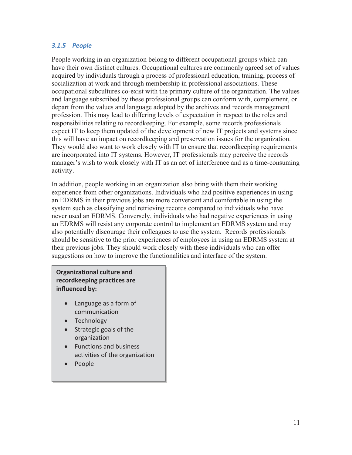#### *3.1.5 People*

People working in an organization belong to different occupational groups which can have their own distinct cultures. Occupational cultures are commonly agreed set of values acquired by individuals through a process of professional education, training, process of socialization at work and through membership in professional associations. These occupational subcultures co-exist with the primary culture of the organization. The values and language subscribed by these professional groups can conform with, complement, or depart from the values and language adopted by the archives and records management profession. This may lead to differing levels of expectation in respect to the roles and responsibilities relating to recordkeeping. For example, some records professionals expect IT to keep them updated of the development of new IT projects and systems since this will have an impact on recordkeeping and preservation issues for the organization. They would also want to work closely with IT to ensure that recordkeeping requirements are incorporated into IT systems. However, IT professionals may perceive the records manager's wish to work closely with IT as an act of interference and as a time-consuming activity.

In addition, people working in an organization also bring with them their working experience from other organizations. Individuals who had positive experiences in using an EDRMS in their previous jobs are more conversant and comfortable in using the system such as classifying and retrieving records compared to individuals who have never used an EDRMS. Conversely, individuals who had negative experiences in using an EDRMS will resist any corporate control to implement an EDRMS system and may also potentially discourage their colleagues to use the system. Records professionals should be sensitive to the prior experiences of employees in using an EDRMS system at their previous jobs. They should work closely with these individuals who can offer suggestions on how to improve the functionalities and interface of the system.

#### **Organizational culture and recordkeeping practices are influenced by:**

- Language as a form of communication
- Technology
- Strategic goals of the organization
- Functions and business activities of the organization
- People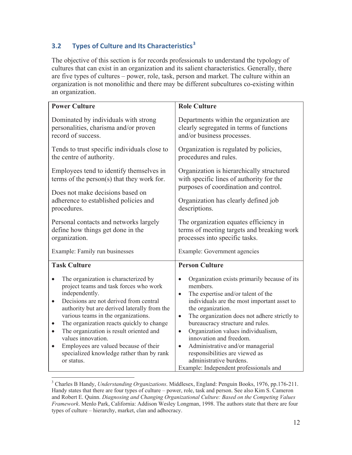# **3.2 Types of Culture and Its Characteristics<sup>3</sup>**

The objective of this section is for records professionals to understand the typology of cultures that can exist in an organization and its salient characteristics. Generally, there are five types of cultures – power, role, task, person and market. The culture within an organization is not monolithic and there may be different subcultures co-existing within an organization.

| <b>Power Culture</b>                                                                                                                                                                                                                                                                                                                                                                                                                                                                                    | <b>Role Culture</b>                                                                                                                                                                                                                                                                                                                                                                                                                                                                                                                 |  |
|---------------------------------------------------------------------------------------------------------------------------------------------------------------------------------------------------------------------------------------------------------------------------------------------------------------------------------------------------------------------------------------------------------------------------------------------------------------------------------------------------------|-------------------------------------------------------------------------------------------------------------------------------------------------------------------------------------------------------------------------------------------------------------------------------------------------------------------------------------------------------------------------------------------------------------------------------------------------------------------------------------------------------------------------------------|--|
| Dominated by individuals with strong<br>personalities, charisma and/or proven<br>record of success.                                                                                                                                                                                                                                                                                                                                                                                                     | Departments within the organization are.<br>clearly segregated in terms of functions<br>and/or business processes.                                                                                                                                                                                                                                                                                                                                                                                                                  |  |
| Tends to trust specific individuals close to<br>the centre of authority.                                                                                                                                                                                                                                                                                                                                                                                                                                | Organization is regulated by policies,<br>procedures and rules.                                                                                                                                                                                                                                                                                                                                                                                                                                                                     |  |
| Employees tend to identify themselves in<br>terms of the person $(s)$ that they work for.                                                                                                                                                                                                                                                                                                                                                                                                               | Organization is hierarchically structured<br>with specific lines of authority for the<br>purposes of coordination and control.                                                                                                                                                                                                                                                                                                                                                                                                      |  |
| Does not make decisions based on<br>adherence to established policies and<br>procedures.                                                                                                                                                                                                                                                                                                                                                                                                                | Organization has clearly defined job<br>descriptions.                                                                                                                                                                                                                                                                                                                                                                                                                                                                               |  |
| Personal contacts and networks largely<br>define how things get done in the<br>organization.                                                                                                                                                                                                                                                                                                                                                                                                            | The organization equates efficiency in<br>terms of meeting targets and breaking work<br>processes into specific tasks.                                                                                                                                                                                                                                                                                                                                                                                                              |  |
| Example: Family run businesses                                                                                                                                                                                                                                                                                                                                                                                                                                                                          | Example: Government agencies                                                                                                                                                                                                                                                                                                                                                                                                                                                                                                        |  |
| <b>Task Culture</b>                                                                                                                                                                                                                                                                                                                                                                                                                                                                                     | <b>Person Culture</b>                                                                                                                                                                                                                                                                                                                                                                                                                                                                                                               |  |
| The organization is characterized by<br>project teams and task forces who work<br>independently.<br>Decisions are not derived from central<br>$\bullet$<br>authority but are derived laterally from the<br>various teams in the organizations.<br>The organization reacts quickly to change<br>$\bullet$<br>The organization is result oriented and<br>$\bullet$<br>values innovation.<br>Employees are valued because of their<br>$\bullet$<br>specialized knowledge rather than by rank<br>or status. | Organization exists primarily because of its<br>$\bullet$<br>members.<br>The expertise and/or talent of the<br>$\bullet$<br>individuals are the most important asset to<br>the organization.<br>The organization does not adhere strictly to<br>$\bullet$<br>bureaucracy structure and rules.<br>Organization values individualism,<br>$\bullet$<br>innovation and freedom.<br>Administrative and/or managerial<br>$\bullet$<br>responsibilities are viewed as<br>administrative burdens.<br>Example: Independent professionals and |  |

 3 Charles B Handy, *Understanding Organizations*. Middlesex, England: Penguin Books, 1976, pp.176-211. Handy states that there are four types of culture – power, role, task and person. See also Kim S. Cameron and Robert E. Quinn. *Diagnosing and Changing Organizational Culture: Based on the Competing Values Framework*. Menlo Park, California: Addison Wesley Longman, 1998. The authors state that there are four types of culture – hierarchy, market, clan and adhocracy.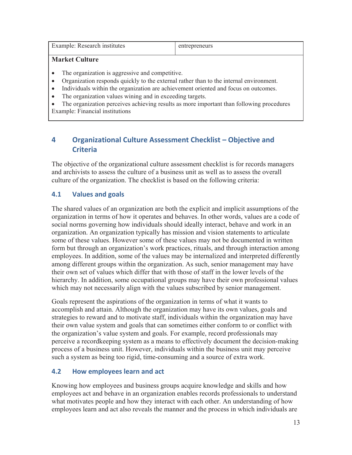| Example: Research institutes | entrepreneurs |
|------------------------------|---------------|
|                              |               |

#### **Market Culture**

- The organization is aggressive and competitive.
- Organization responds quickly to the external rather than to the internal environment.
- Individuals within the organization are achievement oriented and focus on outcomes.
- The organization values wining and in exceeding targets.

• The organization perceives achieving results as more important than following procedures Example: Financial institutions

# **4 Organizational Culture Assessment Checklist – Objective and Criteria**

The objective of the organizational culture assessment checklist is for records managers and archivists to assess the culture of a business unit as well as to assess the overall culture of the organization. The checklist is based on the following criteria:

## **4.1 Values and goals**

The shared values of an organization are both the explicit and implicit assumptions of the organization in terms of how it operates and behaves. In other words, values are a code of social norms governing how individuals should ideally interact, behave and work in an organization. An organization typically has mission and vision statements to articulate some of these values. However some of these values may not be documented in written form but through an organization's work practices, rituals, and through interaction among employees. In addition, some of the values may be internalized and interpreted differently among different groups within the organization. As such, senior management may have their own set of values which differ that with those of staff in the lower levels of the hierarchy. In addition, some occupational groups may have their own professional values which may not necessarily align with the values subscribed by senior management.

Goals represent the aspirations of the organization in terms of what it wants to accomplish and attain. Although the organization may have its own values, goals and strategies to reward and to motivate staff, individuals within the organization may have their own value system and goals that can sometimes either conform to or conflict with the organization's value system and goals. For example, record professionals may perceive a recordkeeping system as a means to effectively document the decision-making process of a business unit. However, individuals within the business unit may perceive such a system as being too rigid, time-consuming and a source of extra work.

## **4.2 How employees learn and act**

Knowing how employees and business groups acquire knowledge and skills and how employees act and behave in an organization enables records professionals to understand what motivates people and how they interact with each other. An understanding of how employees learn and act also reveals the manner and the process in which individuals are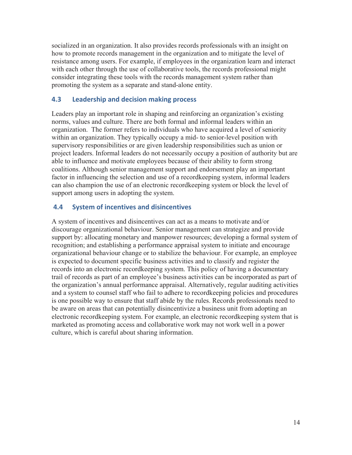socialized in an organization. It also provides records professionals with an insight on how to promote records management in the organization and to mitigate the level of resistance among users. For example, if employees in the organization learn and interact with each other through the use of collaborative tools, the records professional might consider integrating these tools with the records management system rather than promoting the system as a separate and stand-alone entity.

#### **4.3 Leadership and decision making process**

Leaders play an important role in shaping and reinforcing an organization's existing norms, values and culture. There are both formal and informal leaders within an organization. The former refers to individuals who have acquired a level of seniority within an organization. They typically occupy a mid- to senior-level position with supervisory responsibilities or are given leadership responsibilities such as union or project leaders. Informal leaders do not necessarily occupy a position of authority but are able to influence and motivate employees because of their ability to form strong coalitions. Although senior management support and endorsement play an important factor in influencing the selection and use of a recordkeeping system, informal leaders can also champion the use of an electronic recordkeeping system or block the level of support among users in adopting the system.

#### **4.4 System of incentives and disincentives**

A system of incentives and disincentives can act as a means to motivate and/or discourage organizational behaviour. Senior management can strategize and provide support by: allocating monetary and manpower resources; developing a formal system of recognition; and establishing a performance appraisal system to initiate and encourage organizational behaviour change or to stabilize the behaviour. For example, an employee is expected to document specific business activities and to classify and register the records into an electronic recordkeeping system. This policy of having a documentary trail of records as part of an employee's business activities can be incorporated as part of the organization's annual performance appraisal. Alternatively, regular auditing activities and a system to counsel staff who fail to adhere to recordkeeping policies and procedures is one possible way to ensure that staff abide by the rules. Records professionals need to be aware on areas that can potentially disincentivize a business unit from adopting an electronic recordkeeping system. For example, an electronic recordkeeping system that is marketed as promoting access and collaborative work may not work well in a power culture, which is careful about sharing information.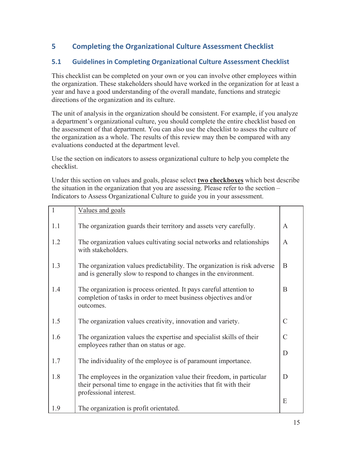# **5 Completing the Organizational Culture Assessment Checklist**

# **5.1 Guidelines in Completing Organizational Culture Assessment Checklist**

This checklist can be completed on your own or you can involve other employees within the organization. These stakeholders should have worked in the organization for at least a year and have a good understanding of the overall mandate, functions and strategic directions of the organization and its culture.

The unit of analysis in the organization should be consistent. For example, if you analyze a department's organizational culture, you should complete the entire checklist based on the assessment of that department. You can also use the checklist to assess the culture of the organization as a whole. The results of this review may then be compared with any evaluations conducted at the department level.

Use the section on indicators to assess organizational culture to help you complete the checklist.

Under this section on values and goals, please select **two checkboxes** which best describe the situation in the organization that you are assessing. Please refer to the section – Indicators to Assess Organizational Culture to guide you in your assessment.

| $\mathbf{1}$ | Values and goals                                                                                                                                                      |                |
|--------------|-----------------------------------------------------------------------------------------------------------------------------------------------------------------------|----------------|
| 1.1          | The organization guards their territory and assets very carefully.                                                                                                    | $\mathsf{A}$   |
| 1.2          | The organization values cultivating social networks and relationships<br>with stakeholders.                                                                           | A              |
| 1.3          | The organization values predictability. The organization is risk adverse<br>and is generally slow to respond to changes in the environment.                           | B              |
| 1.4          | The organization is process oriented. It pays careful attention to<br>completion of tasks in order to meet business objectives and/or<br>outcomes.                    | B              |
| 1.5          | The organization values creativity, innovation and variety.                                                                                                           | $\mathcal{C}$  |
| 1.6          | The organization values the expertise and specialist skills of their<br>employees rather than on status or age.                                                       | $\overline{C}$ |
|              |                                                                                                                                                                       | D              |
| 1.7          | The individuality of the employee is of paramount importance.                                                                                                         |                |
| 1.8          | The employees in the organization value their freedom, in particular<br>their personal time to engage in the activities that fit with their<br>professional interest. | D              |
| 1.9          | The organization is profit orientated.                                                                                                                                | E              |
|              |                                                                                                                                                                       |                |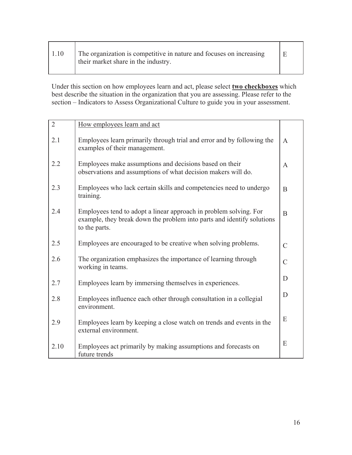| 1.10 | The organization is competitive in nature and focuses on increasing<br>their market share in the industry. |  |
|------|------------------------------------------------------------------------------------------------------------|--|
|      |                                                                                                            |  |

Г

ℸ

Under this section on how employees learn and act, please select **two checkboxes** which best describe the situation in the organization that you are assessing. Please refer to the section – Indicators to Assess Organizational Culture to guide you in your assessment.

| $\overline{2}$ | How employees learn and act                                                                                                                                  |                |
|----------------|--------------------------------------------------------------------------------------------------------------------------------------------------------------|----------------|
| 2.1            | Employees learn primarily through trial and error and by following the<br>examples of their management.                                                      | $\mathbf{A}$   |
| 2.2            | Employees make assumptions and decisions based on their<br>observations and assumptions of what decision makers will do.                                     | A              |
| 2.3            | Employees who lack certain skills and competencies need to undergo<br>training.                                                                              | B              |
| 2.4            | Employees tend to adopt a linear approach in problem solving. For<br>example, they break down the problem into parts and identify solutions<br>to the parts. | B              |
| 2.5            | Employees are encouraged to be creative when solving problems.                                                                                               | $\mathcal{C}$  |
| 2.6            | The organization emphasizes the importance of learning through<br>working in teams.                                                                          | $\overline{C}$ |
| 2.7            | Employees learn by immersing themselves in experiences.                                                                                                      | D              |
| 2.8            | Employees influence each other through consultation in a collegial<br>environment.                                                                           | D              |
| 2.9            | Employees learn by keeping a close watch on trends and events in the<br>external environment.                                                                | E              |
| 2.10           | Employees act primarily by making assumptions and forecasts on<br>future trends                                                                              | E              |

т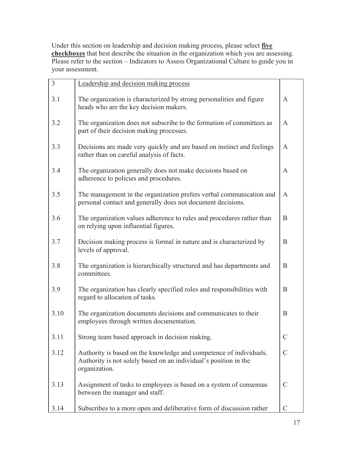Under this section on leadership and decision making process, please select **five checkboxes** that best describe the situation in the organization which you are assessing. Please refer to the section – Indicators to Assess Organizational Culture to guide you in your assessment.

| 3    | Leadership and decision making process                                                                                                                  |               |
|------|---------------------------------------------------------------------------------------------------------------------------------------------------------|---------------|
| 3.1  | The organization is characterized by strong personalities and figure<br>heads who are the key decision makers.                                          | A             |
| 3.2  | The organization does not subscribe to the formation of committees as<br>part of their decision making processes.                                       | A             |
| 3.3  | Decisions are made very quickly and are based on instinct and feelings<br>rather than on careful analysis of facts.                                     | A             |
| 3.4  | The organization generally does not make decisions based on<br>adherence to policies and procedures.                                                    | A             |
| 3.5  | The management in the organization prefers verbal communication and<br>personal contact and generally does not document decisions.                      | A             |
| 3.6  | The organization values adherence to rules and procedures rather than<br>on relying upon influential figures.                                           | B             |
| 3.7  | Decision making process is formal in nature and is characterized by<br>levels of approval.                                                              | B             |
| 3.8  | The organization is hierarchically structured and has departments and<br>committees.                                                                    | B             |
| 3.9  | The organization has clearly specified roles and responsibilities with<br>regard to allocation of tasks.                                                | B             |
| 3.10 | The organization documents decisions and communicates to their<br>employees through written documentation.                                              | B             |
| 3.11 | Strong team based approach in decision making.                                                                                                          | $\mathcal{C}$ |
| 3.12 | Authority is based on the knowledge and competence of individuals.<br>Authority is not solely based on an individual's position in the<br>organization. | $\mathcal{C}$ |
| 3.13 | Assignment of tasks to employees is based on a system of consensus<br>between the manager and staff.                                                    | $\mathcal{C}$ |
| 3.14 | Subscribes to a more open and deliberative form of discussion rather                                                                                    | $\mathcal{C}$ |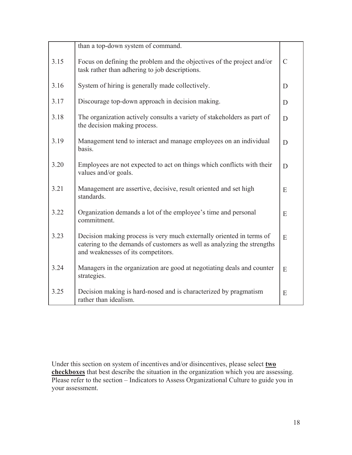|      | than a top-down system of command.                                                                                                                                                    |               |
|------|---------------------------------------------------------------------------------------------------------------------------------------------------------------------------------------|---------------|
| 3.15 | Focus on defining the problem and the objectives of the project and/or<br>task rather than adhering to job descriptions.                                                              | $\mathcal{C}$ |
| 3.16 | System of hiring is generally made collectively.                                                                                                                                      | D             |
| 3.17 | Discourage top-down approach in decision making.                                                                                                                                      | D             |
| 3.18 | The organization actively consults a variety of stakeholders as part of<br>the decision making process.                                                                               | D             |
| 3.19 | Management tend to interact and manage employees on an individual<br>basis.                                                                                                           | D             |
| 3.20 | Employees are not expected to act on things which conflicts with their<br>values and/or goals.                                                                                        | D             |
| 3.21 | Management are assertive, decisive, result oriented and set high<br>standards.                                                                                                        | E             |
| 3.22 | Organization demands a lot of the employee's time and personal<br>commitment.                                                                                                         | E             |
| 3.23 | Decision making process is very much externally oriented in terms of<br>catering to the demands of customers as well as analyzing the strengths<br>and weaknesses of its competitors. | E             |
| 3.24 | Managers in the organization are good at negotiating deals and counter<br>strategies.                                                                                                 | E             |
| 3.25 | Decision making is hard-nosed and is characterized by pragmatism<br>rather than idealism.                                                                                             | E             |

Under this section on system of incentives and/or disincentives, please select **two checkboxes** that best describe the situation in the organization which you are assessing. Please refer to the section – Indicators to Assess Organizational Culture to guide you in your assessment.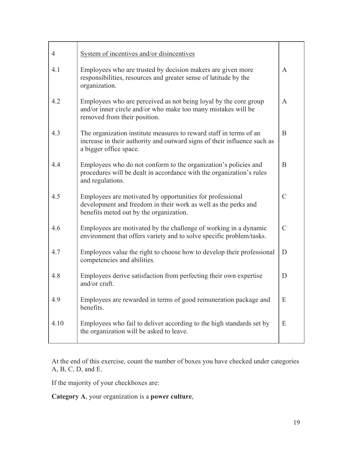| 4    | System of incentives and/or disincentives                                                                                                                                |               |
|------|--------------------------------------------------------------------------------------------------------------------------------------------------------------------------|---------------|
| 4.1  | Employees who are trusted by decision makers are given more<br>responsibilities, resources and greater sense of latitude by the<br>organization.                         | A             |
| 4.2  | Employees who are perceived as not being loyal by the core group<br>and/or inner circle and/or who make too many mistakes will be<br>removed from their position.        | A             |
| 4.3  | The organization institute measures to reward staff in terms of an<br>increase in their authority and outward signs of their influence such as<br>a bigger office space. | B             |
| 4.4  | Employees who do not conform to the organization's policies and<br>procedures will be dealt in accordance with the organization's rules<br>and regulations.              | B             |
| 4.5  | Employees are motivated by opportunities for professional<br>development and freedom in their work as well as the perks and<br>benefits meted out by the organization.   | $\mathcal{C}$ |
| 4.6  | Employees are motivated by the challenge of working in a dynamic<br>environment that offers variety and to solve specific problem/tasks.                                 | $\mathcal{C}$ |
| 4.7  | Employees value the right to choose how to develop their professional<br>competencies and abilities.                                                                     | D             |
| 4.8  | Employees derive satisfaction from perfecting their own expertise<br>and/or craft.                                                                                       | D             |
| 4.9  | Employees are rewarded in terms of good remuneration package and<br>benefits.                                                                                            | ${\bf E}$     |
| 4.10 | Employees who fail to deliver according to the high standards set by<br>the organization will be asked to leave.                                                         | Ε             |

At the end of this exercise, count the number of boxes you have checked under categories A, B, C, D, and E.

If the majority of your checkboxes are:

**Category A**, your organization is a **power culture**,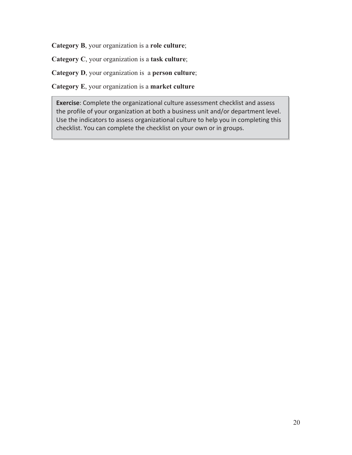**Category B**, your organization is a **role culture**;

**Category C**, your organization is a **task culture**;

**Category D**, your organization is a **person culture**;

**Category E**, your organization is a **market culture**

**Exercise**: Complete the organizational culture assessment checklist and assess the profile of your organization at both a business unit and/or department level. Use the indicators to assess organizational culture to help you in completing this checklist. You can complete the checklist on your own or in groups.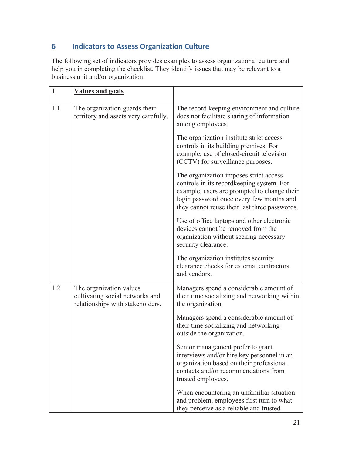# **6 Indicators to Assess Organization Culture**

The following set of indicators provides examples to assess organizational culture and help you in completing the checklist. They identify issues that may be relevant to a business unit and/or organization.

| $\mathbf{1}$ | <b>Values and goals</b>                                                                        |                                                                                                                                                                                                                                 |
|--------------|------------------------------------------------------------------------------------------------|---------------------------------------------------------------------------------------------------------------------------------------------------------------------------------------------------------------------------------|
| 1.1          | The organization guards their<br>territory and assets very carefully.                          | The record keeping environment and culture<br>does not facilitate sharing of information<br>among employees.                                                                                                                    |
|              |                                                                                                | The organization institute strict access<br>controls in its building premises. For<br>example, use of closed-circuit television<br>(CCTV) for surveillance purposes.                                                            |
|              |                                                                                                | The organization imposes strict access<br>controls in its recordkeeping system. For<br>example, users are prompted to change their<br>login password once every few months and<br>they cannot reuse their last three passwords. |
|              |                                                                                                | Use of office laptops and other electronic<br>devices cannot be removed from the<br>organization without seeking necessary<br>security clearance.                                                                               |
|              |                                                                                                | The organization institutes security<br>clearance checks for external contractors<br>and vendors.                                                                                                                               |
| 1.2          | The organization values<br>cultivating social networks and<br>relationships with stakeholders. | Managers spend a considerable amount of<br>their time socializing and networking within<br>the organization.                                                                                                                    |
|              |                                                                                                | Managers spend a considerable amount of<br>their time socializing and networking<br>outside the organization.                                                                                                                   |
|              |                                                                                                | Senior management prefer to grant<br>interviews and/or hire key personnel in an<br>organization based on their professional<br>contacts and/or recommendations from<br>trusted employees.                                       |
|              |                                                                                                | When encountering an unfamiliar situation<br>and problem, employees first turn to what<br>they perceive as a reliable and trusted                                                                                               |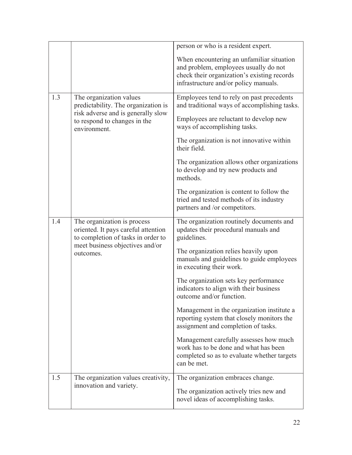|                                              |                                                                                                               | person or who is a resident expert.                                                                                                           |
|----------------------------------------------|---------------------------------------------------------------------------------------------------------------|-----------------------------------------------------------------------------------------------------------------------------------------------|
|                                              |                                                                                                               | When encountering an unfamiliar situation                                                                                                     |
|                                              |                                                                                                               | and problem, employees usually do not<br>check their organization's existing records                                                          |
|                                              |                                                                                                               | infrastructure and/or policy manuals.                                                                                                         |
| 1.3                                          | The organization values                                                                                       | Employees tend to rely on past precedents                                                                                                     |
|                                              | predictability. The organization is<br>risk adverse and is generally slow                                     | and traditional ways of accomplishing tasks.                                                                                                  |
|                                              | to respond to changes in the<br>environment.                                                                  | Employees are reluctant to develop new<br>ways of accomplishing tasks.                                                                        |
|                                              |                                                                                                               | The organization is not innovative within<br>their field.                                                                                     |
|                                              |                                                                                                               | The organization allows other organizations<br>to develop and try new products and<br>methods.                                                |
|                                              |                                                                                                               | The organization is content to follow the<br>tried and tested methods of its industry<br>partners and /or competitors.                        |
| 1.4                                          | The organization is process<br>oriented. It pays careful attention<br>to completion of tasks in order to      | The organization routinely documents and<br>updates their procedural manuals and<br>guidelines.                                               |
| meet business objectives and/or<br>outcomes. | The organization relies heavily upon<br>manuals and guidelines to guide employees<br>in executing their work. |                                                                                                                                               |
|                                              |                                                                                                               | The organization sets key performance<br>indicators to align with their business<br>outcome and/or function.                                  |
|                                              |                                                                                                               | Management in the organization institute a<br>reporting system that closely monitors the<br>assignment and completion of tasks.               |
|                                              |                                                                                                               | Management carefully assesses how much<br>work has to be done and what has been<br>completed so as to evaluate whether targets<br>can be met. |
| 1.5                                          | The organization values creativity,                                                                           | The organization embraces change.                                                                                                             |
|                                              | innovation and variety.                                                                                       | The organization actively tries new and<br>novel ideas of accomplishing tasks.                                                                |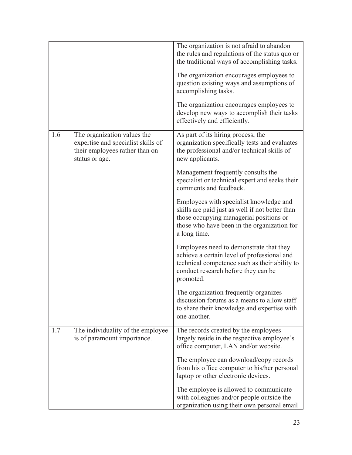|     |                                                                                                                       | The organization is not afraid to abandon<br>the rules and regulations of the status quo or<br>the traditional ways of accomplishing tasks.                                                          |
|-----|-----------------------------------------------------------------------------------------------------------------------|------------------------------------------------------------------------------------------------------------------------------------------------------------------------------------------------------|
|     |                                                                                                                       | The organization encourages employees to<br>question existing ways and assumptions of<br>accomplishing tasks.                                                                                        |
|     |                                                                                                                       | The organization encourages employees to<br>develop new ways to accomplish their tasks<br>effectively and efficiently.                                                                               |
| 1.6 | The organization values the<br>expertise and specialist skills of<br>their employees rather than on<br>status or age. | As part of its hiring process, the<br>organization specifically tests and evaluates<br>the professional and/or technical skills of<br>new applicants.                                                |
|     |                                                                                                                       | Management frequently consults the<br>specialist or technical expert and seeks their<br>comments and feedback.                                                                                       |
|     |                                                                                                                       | Employees with specialist knowledge and<br>skills are paid just as well if not better than<br>those occupying managerial positions or<br>those who have been in the organization for<br>a long time. |
|     |                                                                                                                       | Employees need to demonstrate that they<br>achieve a certain level of professional and<br>technical competence such as their ability to<br>conduct research before they can be<br>promoted.          |
|     |                                                                                                                       | The organization frequently organizes<br>discussion forums as a means to allow staff<br>to share their knowledge and expertise with<br>one another.                                                  |
| 1.7 | The individuality of the employee<br>is of paramount importance.                                                      | The records created by the employees<br>largely reside in the respective employee's<br>office computer, LAN and/or website.                                                                          |
|     |                                                                                                                       | The employee can download/copy records<br>from his office computer to his/her personal<br>laptop or other electronic devices.                                                                        |
|     |                                                                                                                       | The employee is allowed to communicate<br>with colleagues and/or people outside the<br>organization using their own personal email                                                                   |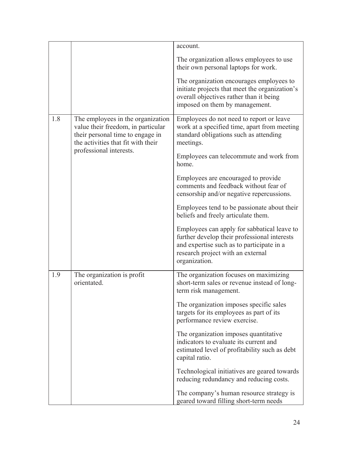|     |                                                                                                                                                   | account.                                                                                                                                                                                       |
|-----|---------------------------------------------------------------------------------------------------------------------------------------------------|------------------------------------------------------------------------------------------------------------------------------------------------------------------------------------------------|
|     |                                                                                                                                                   | The organization allows employees to use<br>their own personal laptops for work.                                                                                                               |
|     |                                                                                                                                                   | The organization encourages employees to<br>initiate projects that meet the organization's<br>overall objectives rather than it being<br>imposed on them by management.                        |
| 1.8 | The employees in the organization<br>value their freedom, in particular<br>their personal time to engage in<br>the activities that fit with their | Employees do not need to report or leave<br>work at a specified time, apart from meeting<br>standard obligations such as attending<br>meetings.                                                |
|     | professional interests.                                                                                                                           | Employees can telecommute and work from<br>home.                                                                                                                                               |
|     |                                                                                                                                                   | Employees are encouraged to provide<br>comments and feedback without fear of<br>censorship and/or negative repercussions.                                                                      |
|     |                                                                                                                                                   | Employees tend to be passionate about their<br>beliefs and freely articulate them.                                                                                                             |
|     |                                                                                                                                                   | Employees can apply for sabbatical leave to<br>further develop their professional interests<br>and expertise such as to participate in a<br>research project with an external<br>organization. |
| 1.9 | The organization is profit<br>orientated.                                                                                                         | The organization focuses on maximizing<br>short-term sales or revenue instead of long-<br>term risk management.                                                                                |
|     |                                                                                                                                                   | The organization imposes specific sales<br>targets for its employees as part of its<br>performance review exercise.                                                                            |
|     |                                                                                                                                                   | The organization imposes quantitative<br>indicators to evaluate its current and<br>estimated level of profitability such as debt<br>capital ratio.                                             |
|     |                                                                                                                                                   | Technological initiatives are geared towards<br>reducing redundancy and reducing costs.                                                                                                        |
|     |                                                                                                                                                   | The company's human resource strategy is<br>geared toward filling short-term needs                                                                                                             |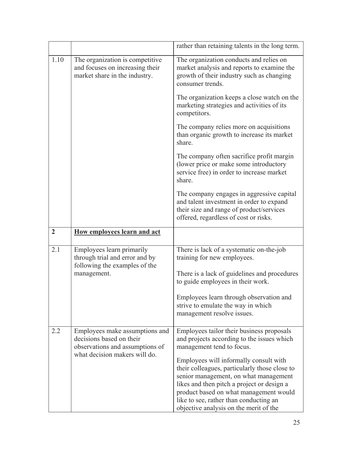|                |                                                                                                                                | rather than retaining talents in the long term.                                                                                                                                                                                                                    |
|----------------|--------------------------------------------------------------------------------------------------------------------------------|--------------------------------------------------------------------------------------------------------------------------------------------------------------------------------------------------------------------------------------------------------------------|
| 1.10           | The organization is competitive<br>and focuses on increasing their<br>market share in the industry.                            | The organization conducts and relies on<br>market analysis and reports to examine the<br>growth of their industry such as changing<br>consumer trends.                                                                                                             |
|                |                                                                                                                                | The organization keeps a close watch on the<br>marketing strategies and activities of its<br>competitors.                                                                                                                                                          |
|                |                                                                                                                                | The company relies more on acquisitions<br>than organic growth to increase its market<br>share.                                                                                                                                                                    |
|                |                                                                                                                                | The company often sacrifice profit margin<br>(lower price or make some introductory<br>service free) in order to increase market<br>share.                                                                                                                         |
|                |                                                                                                                                | The company engages in aggressive capital<br>and talent investment in order to expand<br>their size and range of product/services<br>offered, regardless of cost or risks.                                                                                         |
|                |                                                                                                                                |                                                                                                                                                                                                                                                                    |
| $\overline{2}$ | How employees learn and act                                                                                                    |                                                                                                                                                                                                                                                                    |
| 2.1            | Employees learn primarily<br>through trial and error and by<br>following the examples of the                                   | There is lack of a systematic on-the-job<br>training for new employees.                                                                                                                                                                                            |
|                | management.                                                                                                                    | There is a lack of guidelines and procedures<br>to guide employees in their work.                                                                                                                                                                                  |
|                |                                                                                                                                | Employees learn through observation and<br>strive to emulate the way in which<br>management resolve issues.                                                                                                                                                        |
| 2.2            | Employees make assumptions and<br>decisions based on their<br>observations and assumptions of<br>what decision makers will do. | Employees tailor their business proposals<br>and projects according to the issues which<br>management tend to focus.                                                                                                                                               |
|                |                                                                                                                                | Employees will informally consult with<br>their colleagues, particularly those close to<br>senior management, on what management<br>likes and then pitch a project or design a<br>product based on what management would<br>like to see, rather than conducting an |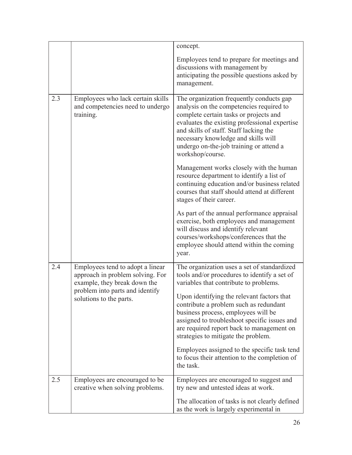|     |                                                                                                      | concept.                                                                                                                                                                                                                                                                                                                        |
|-----|------------------------------------------------------------------------------------------------------|---------------------------------------------------------------------------------------------------------------------------------------------------------------------------------------------------------------------------------------------------------------------------------------------------------------------------------|
|     |                                                                                                      | Employees tend to prepare for meetings and<br>discussions with management by<br>anticipating the possible questions asked by<br>management.                                                                                                                                                                                     |
| 2.3 | Employees who lack certain skills<br>and competencies need to undergo<br>training.                   | The organization frequently conducts gap<br>analysis on the competencies required to<br>complete certain tasks or projects and<br>evaluates the existing professional expertise<br>and skills of staff. Staff lacking the<br>necessary knowledge and skills will<br>undergo on-the-job training or attend a<br>workshop/course. |
|     |                                                                                                      | Management works closely with the human<br>resource department to identify a list of<br>continuing education and/or business related<br>courses that staff should attend at different<br>stages of their career.                                                                                                                |
|     |                                                                                                      | As part of the annual performance appraisal<br>exercise, both employees and management<br>will discuss and identify relevant<br>courses/workshops/conferences that the<br>employee should attend within the coming<br>year.                                                                                                     |
| 2.4 | Employees tend to adopt a linear<br>approach in problem solving. For<br>example, they break down the | The organization uses a set of standardized<br>tools and/or procedures to identify a set of<br>variables that contribute to problems.                                                                                                                                                                                           |
|     | problem into parts and identify<br>solutions to the parts.                                           | Upon identifying the relevant factors that<br>contribute a problem such as redundant<br>business process, employees will be<br>assigned to troubleshoot specific issues and<br>are required report back to management on<br>strategies to mitigate the problem.                                                                 |
|     |                                                                                                      | Employees assigned to the specific task tend<br>to focus their attention to the completion of<br>the task.                                                                                                                                                                                                                      |
| 2.5 | Employees are encouraged to be.<br>creative when solving problems.                                   | Employees are encouraged to suggest and<br>try new and untested ideas at work.                                                                                                                                                                                                                                                  |
|     |                                                                                                      | The allocation of tasks is not clearly defined<br>as the work is largely experimental in                                                                                                                                                                                                                                        |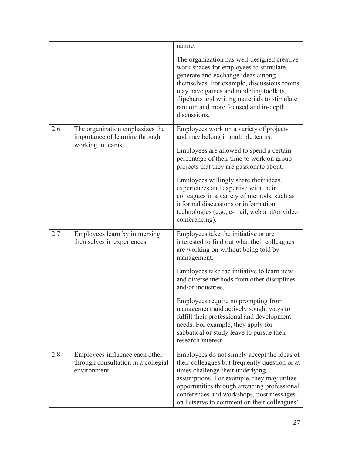|     |                                                                                        | nature.<br>The organization has well-designed creative<br>work spaces for employees to stimulate,<br>generate and exchange ideas among<br>themselves. For example, discussions rooms<br>may have games and modeling toolkits,<br>flipcharts and writing materials to stimulate<br>random and more focused and in-depth<br>discussions.                                                                                                                                                                |
|-----|----------------------------------------------------------------------------------------|-------------------------------------------------------------------------------------------------------------------------------------------------------------------------------------------------------------------------------------------------------------------------------------------------------------------------------------------------------------------------------------------------------------------------------------------------------------------------------------------------------|
| 2.6 | The organization emphasizes the<br>importance of learning through<br>working in teams. | Employees work on a variety of projects<br>and may belong in multiple teams.<br>Employees are allowed to spend a certain<br>percentage of their time to work on group<br>projects that they are passionate about.<br>Employees willingly share their ideas,<br>experiences and expertise with their<br>colleagues in a variety of methods, such as<br>informal discussions or information<br>technologies (e.g., e-mail, web and/or video<br>conferencing).                                           |
| 2.7 | Employees learn by immersing<br>themselves in experiences                              | Employees take the initiative or are<br>interested to find out what their colleagues<br>are working on without being told by<br>management.<br>Employees take the initiative to learn new<br>and diverse methods from other disciplines<br>and/or industries.<br>Employees require no prompting from<br>management and actively sought ways to<br>fulfill their professional and development<br>needs. For example, they apply for<br>sabbatical or study leave to pursue their<br>research interest. |
| 2.8 | Employees influence each other<br>through consultation in a collegial<br>environment.  | Employees do not simply accept the ideas of<br>their colleagues but frequently question or at<br>times challenge their underlying<br>assumptions. For example, they may utilize<br>opportunities through attending professional<br>conferences and workshops, post messages<br>on listservs to comment on their colleagues'                                                                                                                                                                           |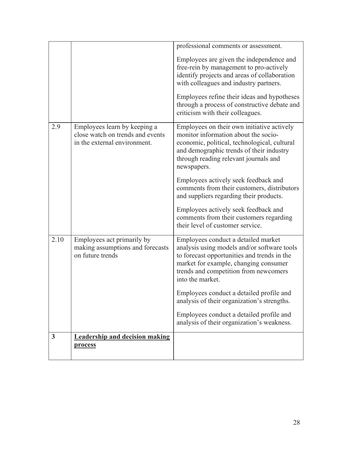|              |                                                                                                  | professional comments or assessment.                                                                                                                                                                                                    |
|--------------|--------------------------------------------------------------------------------------------------|-----------------------------------------------------------------------------------------------------------------------------------------------------------------------------------------------------------------------------------------|
|              |                                                                                                  | Employees are given the independence and<br>free-rein by management to pro-actively<br>identify projects and areas of collaboration<br>with colleagues and industry partners.                                                           |
|              |                                                                                                  | Employees refine their ideas and hypotheses<br>through a process of constructive debate and<br>criticism with their colleagues.                                                                                                         |
| 2.9          | Employees learn by keeping a<br>close watch on trends and events<br>in the external environment. | Employees on their own initiative actively<br>monitor information about the socio-<br>economic, political, technological, cultural<br>and demographic trends of their industry<br>through reading relevant journals and<br>newspapers.  |
|              |                                                                                                  | Employees actively seek feedback and<br>comments from their customers, distributors<br>and suppliers regarding their products.                                                                                                          |
|              |                                                                                                  | Employees actively seek feedback and<br>comments from their customers regarding<br>their level of customer service.                                                                                                                     |
| 2.10         | Employees act primarily by<br>making assumptions and forecasts<br>on future trends               | Employees conduct a detailed market<br>analysis using models and/or software tools<br>to forecast opportunities and trends in the<br>market for example, changing consumer<br>trends and competition from newcomers<br>into the market. |
|              |                                                                                                  | Employees conduct a detailed profile and<br>analysis of their organization's strengths.                                                                                                                                                 |
|              |                                                                                                  | Employees conduct a detailed profile and<br>analysis of their organization's weakness.                                                                                                                                                  |
| $\mathbf{3}$ | <b>Leadership and decision making</b><br>process                                                 |                                                                                                                                                                                                                                         |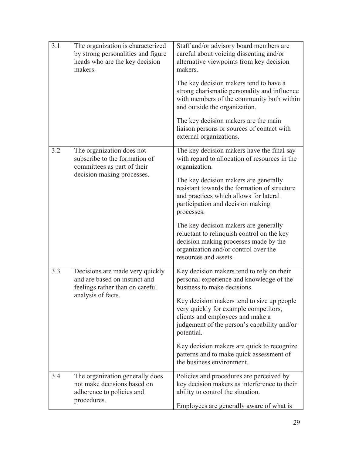| 3.1 | The organization is characterized<br>by strong personalities and figure<br>heads who are the key decision<br>makers. | Staff and/or advisory board members are<br>careful about voicing dissenting and/or<br>alternative viewpoints from key decision<br>makers.<br>The key decision makers tend to have a<br>strong charismatic personality and influence<br>with members of the community both within<br>and outside the organization. |
|-----|----------------------------------------------------------------------------------------------------------------------|-------------------------------------------------------------------------------------------------------------------------------------------------------------------------------------------------------------------------------------------------------------------------------------------------------------------|
|     |                                                                                                                      | The key decision makers are the main<br>liaison persons or sources of contact with<br>external organizations.                                                                                                                                                                                                     |
| 3.2 | The organization does not<br>subscribe to the formation of<br>committees as part of their                            | The key decision makers have the final say<br>with regard to allocation of resources in the<br>organization.                                                                                                                                                                                                      |
|     | decision making processes.                                                                                           | The key decision makers are generally<br>resistant towards the formation of structure<br>and practices which allows for lateral<br>participation and decision making<br>processes.                                                                                                                                |
|     |                                                                                                                      | The key decision makers are generally<br>reluctant to relinquish control on the key<br>decision making processes made by the<br>organization and/or control over the<br>resources and assets.                                                                                                                     |
| 3.3 | Decisions are made very quickly<br>and are based on instinct and<br>feelings rather than on careful                  | Key decision makers tend to rely on their<br>personal experience and knowledge of the<br>business to make decisions.                                                                                                                                                                                              |
|     | analysis of facts.                                                                                                   | Key decision makers tend to size up people<br>very quickly for example competitors,<br>clients and employees and make a<br>judgement of the person's capability and/or<br>potential.                                                                                                                              |
|     |                                                                                                                      | Key decision makers are quick to recognize<br>patterns and to make quick assessment of<br>the business environment.                                                                                                                                                                                               |
| 3.4 | The organization generally does<br>not make decisions based on<br>adherence to policies and<br>procedures.           | Policies and procedures are perceived by<br>key decision makers as interference to their<br>ability to control the situation.<br>Employees are generally aware of what is                                                                                                                                         |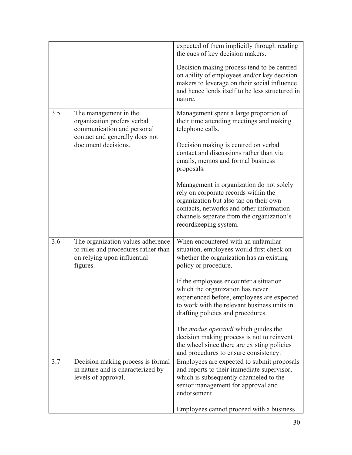|     |                                                                                                                      | expected of them implicitly through reading<br>the cues of key decision makers.                                                                                                                                                              |
|-----|----------------------------------------------------------------------------------------------------------------------|----------------------------------------------------------------------------------------------------------------------------------------------------------------------------------------------------------------------------------------------|
|     |                                                                                                                      | Decision making process tend to be centred<br>on ability of employees and/or key decision<br>makers to leverage on their social influence<br>and hence lends itself to be less structured in<br>nature.                                      |
| 3.5 | The management in the<br>organization prefers verbal<br>communication and personal<br>contact and generally does not | Management spent a large proportion of<br>their time attending meetings and making<br>telephone calls.                                                                                                                                       |
|     | document decisions.                                                                                                  | Decision making is centred on verbal<br>contact and discussions rather than via<br>emails, memos and formal business<br>proposals.                                                                                                           |
|     |                                                                                                                      | Management in organization do not solely<br>rely on corporate records within the<br>organization but also tap on their own<br>contacts, networks and other information<br>channels separate from the organization's<br>recordkeeping system. |
| 3.6 | The organization values adherence<br>to rules and procedures rather than<br>on relying upon influential<br>figures.  | When encountered with an unfamiliar<br>situation, employees would first check on<br>whether the organization has an existing<br>policy or procedure.                                                                                         |
|     |                                                                                                                      | If the employees encounter a situation<br>which the organization has never<br>experienced before, employees are expected<br>to work with the relevant business units in<br>drafting policies and procedures.                                 |
|     |                                                                                                                      | The <i>modus operandi</i> which guides the<br>decision making process is not to reinvent<br>the wheel since there are existing policies<br>and procedures to ensure consistency.                                                             |
| 3.7 | Decision making process is formal<br>in nature and is characterized by<br>levels of approval.                        | Employees are expected to submit proposals<br>and reports to their immediate supervisor,<br>which is subsequently channeled to the<br>senior management for approval and<br>endorsement                                                      |
|     |                                                                                                                      | Employees cannot proceed with a business                                                                                                                                                                                                     |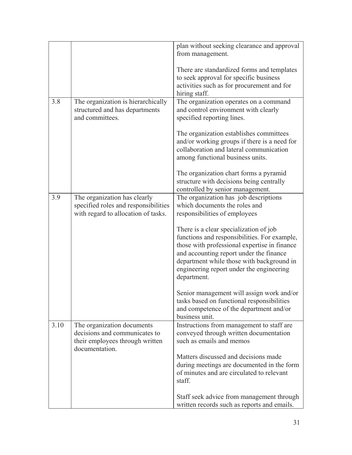|      |                                                                                                                  | plan without seeking clearance and approval<br>from management.                                                                                                                                                                                                                           |
|------|------------------------------------------------------------------------------------------------------------------|-------------------------------------------------------------------------------------------------------------------------------------------------------------------------------------------------------------------------------------------------------------------------------------------|
|      |                                                                                                                  | There are standardized forms and templates<br>to seek approval for specific business<br>activities such as for procurement and for<br>hiring staff.                                                                                                                                       |
| 3.8  | The organization is hierarchically<br>structured and has departments<br>and committees.                          | The organization operates on a command<br>and control environment with clearly<br>specified reporting lines.                                                                                                                                                                              |
|      |                                                                                                                  | The organization establishes committees<br>and/or working groups if there is a need for<br>collaboration and lateral communication<br>among functional business units.                                                                                                                    |
|      |                                                                                                                  | The organization chart forms a pyramid<br>structure with decisions being centrally<br>controlled by senior management.                                                                                                                                                                    |
| 3.9  | The organization has clearly<br>specified roles and responsibilities<br>with regard to allocation of tasks.      | The organization has job descriptions<br>which documents the roles and<br>responsibilities of employees                                                                                                                                                                                   |
|      |                                                                                                                  | There is a clear specialization of job<br>functions and responsibilities. For example,<br>those with professional expertise in finance<br>and accounting report under the finance<br>department while those with background in<br>engineering report under the engineering<br>department. |
|      |                                                                                                                  | Senior management will assign work and/or<br>tasks based on functional responsibilities<br>and competence of the department and/or<br>business unit.                                                                                                                                      |
| 3.10 | The organization documents<br>decisions and communicates to<br>their employees through written<br>documentation. | Instructions from management to staff are<br>conveyed through written documentation<br>such as emails and memos                                                                                                                                                                           |
|      |                                                                                                                  | Matters discussed and decisions made<br>during meetings are documented in the form<br>of minutes and are circulated to relevant<br>staff.                                                                                                                                                 |
|      |                                                                                                                  | Staff seek advice from management through<br>written records such as reports and emails.                                                                                                                                                                                                  |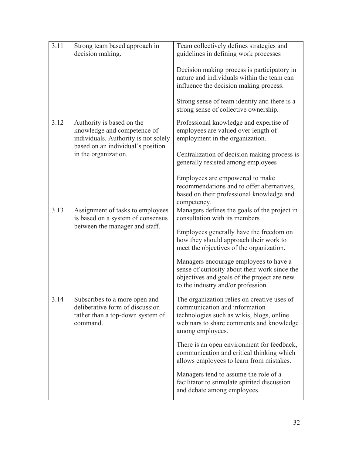| 3.11 | Strong team based approach in<br>decision making.                                                                                                             | Team collectively defines strategies and<br>guidelines in defining work processes<br>Decision making process is participatory in<br>nature and individuals within the team can<br>influence the decision making process.<br>Strong sense of team identity and there is a<br>strong sense of collective ownership.                                                                                                                                        |
|------|---------------------------------------------------------------------------------------------------------------------------------------------------------------|----------------------------------------------------------------------------------------------------------------------------------------------------------------------------------------------------------------------------------------------------------------------------------------------------------------------------------------------------------------------------------------------------------------------------------------------------------|
| 3.12 | Authority is based on the<br>knowledge and competence of<br>individuals. Authority is not solely<br>based on an individual's position<br>in the organization. | Professional knowledge and expertise of<br>employees are valued over length of<br>employment in the organization.<br>Centralization of decision making process is<br>generally resisted among employees<br>Employees are empowered to make<br>recommendations and to offer alternatives,<br>based on their professional knowledge and<br>competency.                                                                                                     |
| 3.13 | Assignment of tasks to employees<br>is based on a system of consensus<br>between the manager and staff.                                                       | Managers defines the goals of the project in<br>consultation with its members<br>Employees generally have the freedom on<br>how they should approach their work to<br>meet the objectives of the organization.<br>Managers encourage employees to have a<br>sense of curiosity about their work since the<br>objectives and goals of the project are new<br>to the industry and/or profession.                                                           |
| 3.14 | Subscribes to a more open and<br>deliberative form of discussion<br>rather than a top-down system of<br>command.                                              | The organization relies on creative uses of<br>communication and information<br>technologies such as wikis, blogs, online<br>webinars to share comments and knowledge<br>among employees.<br>There is an open environment for feedback,<br>communication and critical thinking which<br>allows employees to learn from mistakes.<br>Managers tend to assume the role of a<br>facilitator to stimulate spirited discussion<br>and debate among employees. |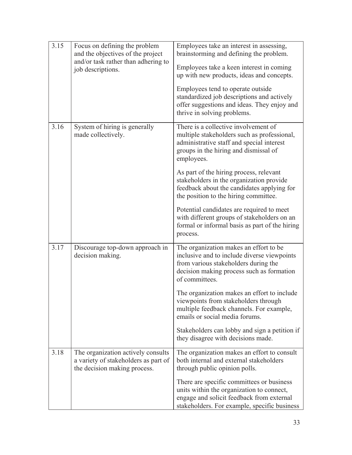| 3.15 | Focus on defining the problem<br>and the objectives of the project                                         | Employees take an interest in assessing,<br>brainstorming and defining the problem.                                                                                                          |
|------|------------------------------------------------------------------------------------------------------------|----------------------------------------------------------------------------------------------------------------------------------------------------------------------------------------------|
|      | and/or task rather than adhering to<br>job descriptions.                                                   | Employees take a keen interest in coming                                                                                                                                                     |
|      |                                                                                                            | up with new products, ideas and concepts.                                                                                                                                                    |
|      |                                                                                                            | Employees tend to operate outside<br>standardized job descriptions and actively<br>offer suggestions and ideas. They enjoy and<br>thrive in solving problems.                                |
| 3.16 | System of hiring is generally<br>made collectively.                                                        | There is a collective involvement of<br>multiple stakeholders such as professional,<br>administrative staff and special interest<br>groups in the hiring and dismissal of<br>employees.      |
|      |                                                                                                            | As part of the hiring process, relevant<br>stakeholders in the organization provide<br>feedback about the candidates applying for<br>the position to the hiring committee.                   |
|      |                                                                                                            | Potential candidates are required to meet<br>with different groups of stakeholders on an<br>formal or informal basis as part of the hiring<br>process.                                       |
| 3.17 | Discourage top-down approach in<br>decision making.                                                        | The organization makes an effort to be<br>inclusive and to include diverse viewpoints<br>from various stakeholders during the<br>decision making process such as formation<br>of committees. |
|      |                                                                                                            | The organization makes an effort to include<br>viewpoints from stakeholders through<br>multiple feedback channels. For example,<br>emails or social media forums.                            |
|      |                                                                                                            | Stakeholders can lobby and sign a petition if<br>they disagree with decisions made.                                                                                                          |
| 3.18 | The organization actively consults<br>a variety of stakeholders as part of<br>the decision making process. | The organization makes an effort to consult<br>both internal and external stakeholders<br>through public opinion polls.                                                                      |
|      |                                                                                                            | There are specific committees or business<br>units within the organization to connect,<br>engage and solicit feedback from external<br>stakeholders. For example, specific business          |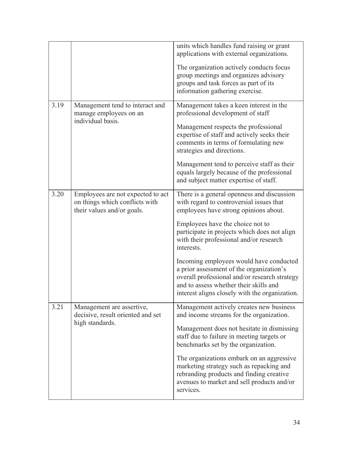|      |                                                                                                   | units which handles fund raising or grant<br>applications with external organizations.<br>The organization actively conducts focus<br>group meetings and organizes advisory<br>groups and task forces as part of its<br>information gathering exercise.                                                                                                                                                                                                                                                          |
|------|---------------------------------------------------------------------------------------------------|------------------------------------------------------------------------------------------------------------------------------------------------------------------------------------------------------------------------------------------------------------------------------------------------------------------------------------------------------------------------------------------------------------------------------------------------------------------------------------------------------------------|
| 3.19 | Management tend to interact and<br>manage employees on an<br>individual basis.                    | Management takes a keen interest in the<br>professional development of staff<br>Management respects the professional<br>expertise of staff and actively seeks their<br>comments in terms of formulating new<br>strategies and directions.<br>Management tend to perceive staff as their<br>equals largely because of the professional<br>and subject matter expertise of staff.                                                                                                                                  |
| 3.20 | Employees are not expected to act<br>on things which conflicts with<br>their values and/or goals. | There is a general openness and discussion<br>with regard to controversial issues that<br>employees have strong opinions about.<br>Employees have the choice not to<br>participate in projects which does not align<br>with their professional and/or research<br>interests.<br>Incoming employees would have conducted<br>a prior assessment of the organization's<br>overall professional and/or research strategy<br>and to assess whether their skills and<br>interest aligns closely with the organization. |
| 3.21 | Management are assertive,<br>decisive, result oriented and set<br>high standards.                 | Management actively creates new business<br>and income streams for the organization.<br>Management does not hesitate in dismissing<br>staff due to failure in meeting targets or<br>benchmarks set by the organization.<br>The organizations embark on an aggressive<br>marketing strategy such as repacking and<br>rebranding products and finding creative<br>avenues to market and sell products and/or<br>services.                                                                                          |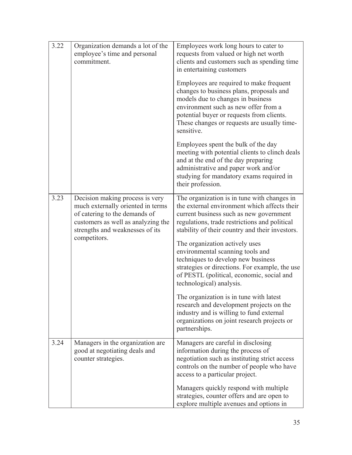| 3.22 | Organization demands a lot of the<br>employee's time and personal<br>commitment.                                                                                                               | Employees work long hours to cater to<br>requests from valued or high net worth<br>clients and customers such as spending time<br>in entertaining customers                                                                                                                |
|------|------------------------------------------------------------------------------------------------------------------------------------------------------------------------------------------------|----------------------------------------------------------------------------------------------------------------------------------------------------------------------------------------------------------------------------------------------------------------------------|
|      |                                                                                                                                                                                                | Employees are required to make frequent<br>changes to business plans, proposals and<br>models due to changes in business<br>environment such as new offer from a<br>potential buyer or requests from clients.<br>These changes or requests are usually time-<br>sensitive. |
|      |                                                                                                                                                                                                | Employees spent the bulk of the day<br>meeting with potential clients to clinch deals<br>and at the end of the day preparing<br>administrative and paper work and/or<br>studying for mandatory exams required in<br>their profession.                                      |
| 3.23 | Decision making process is very<br>much externally oriented in terms<br>of catering to the demands of<br>customers as well as analyzing the<br>strengths and weaknesses of its<br>competitors. | The organization is in tune with changes in<br>the external environment which affects their<br>current business such as new government<br>regulations, trade restrictions and political<br>stability of their country and their investors.                                 |
|      |                                                                                                                                                                                                | The organization actively uses<br>environmental scanning tools and<br>techniques to develop new business<br>strategies or directions. For example, the use<br>of PESTL (political, economic, social and<br>technological) analysis.                                        |
|      |                                                                                                                                                                                                | The organization is in tune with latest<br>research and development projects on the<br>industry and is willing to fund external<br>organizations on joint research projects or<br>partnerships.                                                                            |
| 3.24 | Managers in the organization are<br>good at negotiating deals and<br>counter strategies.                                                                                                       | Managers are careful in disclosing<br>information during the process of<br>negotiation such as instituting strict access<br>controls on the number of people who have<br>access to a particular project.                                                                   |
|      |                                                                                                                                                                                                | Managers quickly respond with multiple<br>strategies, counter offers and are open to<br>explore multiple avenues and options in                                                                                                                                            |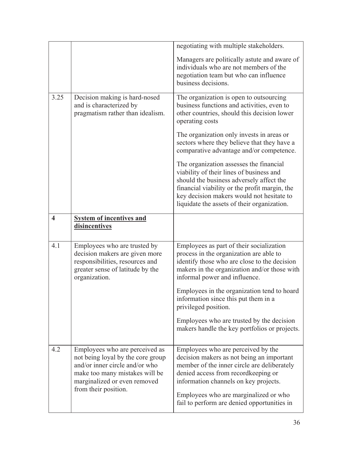|                         |                                                                                                                                                                                                 | negotiating with multiple stakeholders.<br>Managers are politically astute and aware of<br>individuals who are not members of the<br>negotiation team but who can influence<br>business decisions.                                                                                                      |
|-------------------------|-------------------------------------------------------------------------------------------------------------------------------------------------------------------------------------------------|---------------------------------------------------------------------------------------------------------------------------------------------------------------------------------------------------------------------------------------------------------------------------------------------------------|
| 3.25                    | Decision making is hard-nosed<br>and is characterized by<br>pragmatism rather than idealism.                                                                                                    | The organization is open to outsourcing<br>business functions and activities, even to<br>other countries, should this decision lower<br>operating costs                                                                                                                                                 |
|                         |                                                                                                                                                                                                 | The organization only invests in areas or<br>sectors where they believe that they have a<br>comparative advantage and/or competence.                                                                                                                                                                    |
|                         |                                                                                                                                                                                                 | The organization assesses the financial<br>viability of their lines of business and<br>should the business adversely affect the<br>financial viability or the profit margin, the<br>key decision makers would not hesitate to<br>liquidate the assets of their organization.                            |
| $\overline{\mathbf{4}}$ | <b>System of incentives and</b><br>disincentives                                                                                                                                                |                                                                                                                                                                                                                                                                                                         |
| 4.1                     | Employees who are trusted by<br>decision makers are given more<br>responsibilities, resources and<br>greater sense of latitude by the<br>organization.                                          | Employees as part of their socialization<br>process in the organization are able to<br>identify those who are close to the decision<br>makers in the organization and/or those with<br>informal power and influence.                                                                                    |
|                         |                                                                                                                                                                                                 | Employees in the organization tend to hoard<br>information since this put them in a<br>privileged position.                                                                                                                                                                                             |
|                         |                                                                                                                                                                                                 | Employees who are trusted by the decision<br>makers handle the key portfolios or projects.                                                                                                                                                                                                              |
| 4.2                     | Employees who are perceived as<br>not being loyal by the core group<br>and/or inner circle and/or who<br>make too many mistakes will be<br>marginalized or even removed<br>from their position. | Employees who are perceived by the<br>decision makers as not being an important<br>member of the inner circle are deliberately<br>denied access from record keeping or<br>information channels on key projects.<br>Employees who are marginalized or who<br>fail to perform are denied opportunities in |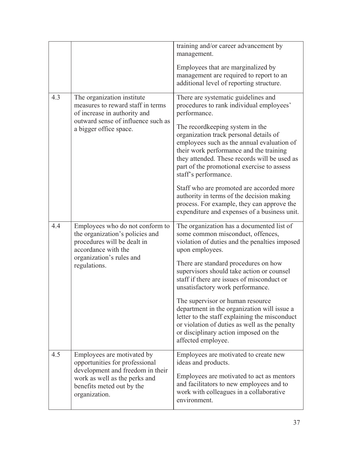|     |                                                                                                                          | training and/or career advancement by<br>management.                                                                                                                                                                                                                                      |
|-----|--------------------------------------------------------------------------------------------------------------------------|-------------------------------------------------------------------------------------------------------------------------------------------------------------------------------------------------------------------------------------------------------------------------------------------|
|     |                                                                                                                          | Employees that are marginalized by<br>management are required to report to an                                                                                                                                                                                                             |
|     |                                                                                                                          | additional level of reporting structure.                                                                                                                                                                                                                                                  |
| 4.3 | The organization institute<br>measures to reward staff in terms<br>of increase in authority and                          | There are systematic guidelines and<br>procedures to rank individual employees'<br>performance.                                                                                                                                                                                           |
|     | outward sense of influence such as<br>a bigger office space.                                                             | The record keeping system in the<br>organization track personal details of<br>employees such as the annual evaluation of<br>their work performance and the training<br>they attended. These records will be used as<br>part of the promotional exercise to assess<br>staff's performance. |
|     |                                                                                                                          | Staff who are promoted are accorded more<br>authority in terms of the decision making<br>process. For example, they can approve the<br>expenditure and expenses of a business unit.                                                                                                       |
| 4.4 | Employees who do not conform to<br>the organization's policies and<br>procedures will be dealt in<br>accordance with the | The organization has a documented list of<br>some common misconduct, offences,<br>violation of duties and the penalties imposed<br>upon employees.                                                                                                                                        |
|     | organization's rules and<br>regulations.                                                                                 | There are standard procedures on how<br>supervisors should take action or counsel<br>staff if there are issues of misconduct or<br>unsatisfactory work performance.                                                                                                                       |
|     |                                                                                                                          | The supervisor or human resource<br>department in the organization will issue a<br>letter to the staff explaining the misconduct<br>or violation of duties as well as the penalty<br>or disciplinary action imposed on the<br>affected employee.                                          |
| 4.5 | Employees are motivated by<br>opportunities for professional                                                             | Employees are motivated to create new<br>ideas and products.                                                                                                                                                                                                                              |
|     | development and freedom in their<br>work as well as the perks and<br>benefits meted out by the<br>organization.          | Employees are motivated to act as mentors<br>and facilitators to new employees and to<br>work with colleagues in a collaborative<br>environment.                                                                                                                                          |
|     |                                                                                                                          |                                                                                                                                                                                                                                                                                           |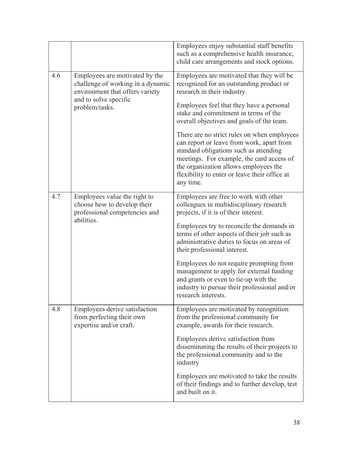|     |                                                                                                        | Employees enjoy substantial staff benefits<br>such as a comprehensive health insurance,<br>child care arrangements and stock options.                                                                                                                                                  |
|-----|--------------------------------------------------------------------------------------------------------|----------------------------------------------------------------------------------------------------------------------------------------------------------------------------------------------------------------------------------------------------------------------------------------|
| 4.6 | Employees are motivated by the<br>challenge of working in a dynamic<br>environment that offers variety | Employees are motivated that they will be<br>recognized for an outstanding product or<br>research in their industry.                                                                                                                                                                   |
|     | and to solve specific<br>problem/tasks.                                                                | Employees feel that they have a personal<br>stake and commitment in terms of the<br>overall objectives and goals of the team.                                                                                                                                                          |
|     |                                                                                                        | There are no strict rules on when employees<br>can report or leave from work, apart from<br>standard obligations such as attending<br>meetings. For example, the card access of<br>the organization allows employees the<br>flexibility to enter or leave their office at<br>any time. |
| 4.7 | Employees value the right to<br>choose how to develop their<br>professional competencies and           | Employees are free to work with other<br>colleagues in multidisciplinary research<br>projects, if it is of their interest.                                                                                                                                                             |
|     | abilities.                                                                                             | Employees try to reconcile the demands in<br>terms of other aspects of their job such as<br>administrative duties to focus on areas of<br>their professional interest.                                                                                                                 |
|     |                                                                                                        | Employees do not require prompting from<br>management to apply for external funding<br>and grants or even to tie-up with the<br>industry to pursue their professional and/or<br>research interests.                                                                                    |
| 4.8 | Employees derive satisfaction<br>from perfecting their own<br>expertise and/or craft.                  | Employees are motivated by recognition<br>from the professional community for<br>example, awards for their research.                                                                                                                                                                   |
|     |                                                                                                        | Employees derive satisfaction from<br>disseminating the results of their projects to<br>the professional community and to the<br>industry                                                                                                                                              |
|     |                                                                                                        | Employees are motivated to take the results<br>of their findings and to further develop, test<br>and built on it.                                                                                                                                                                      |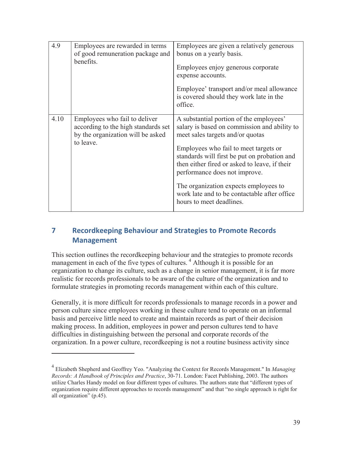| 4.9  | Employees are rewarded in terms<br>of good remuneration package and<br>benefits.                                       | Employees are given a relatively generous<br>bonus on a yearly basis.<br>Employees enjoy generous corporate<br>expense accounts.<br>Employee' transport and/or meal allowance<br>is covered should they work late in the<br>office.                                                                                                                                                                                         |
|------|------------------------------------------------------------------------------------------------------------------------|-----------------------------------------------------------------------------------------------------------------------------------------------------------------------------------------------------------------------------------------------------------------------------------------------------------------------------------------------------------------------------------------------------------------------------|
| 4.10 | Employees who fail to deliver<br>according to the high standards set<br>by the organization will be asked<br>to leave. | A substantial portion of the employees'<br>salary is based on commission and ability to<br>meet sales targets and/or quotas<br>Employees who fail to meet targets or<br>standards will first be put on probation and<br>then either fired or asked to leave, if their<br>performance does not improve.<br>The organization expects employees to<br>work late and to be contactable after office<br>hours to meet deadlines. |

# **7 Recordkeeping Behaviour and Strategies to Promote Records Management**

This section outlines the recordkeeping behaviour and the strategies to promote records management in each of the five types of cultures.<sup>4</sup> Although it is possible for an organization to change its culture, such as a change in senior management, it is far more realistic for records professionals to be aware of the culture of the organization and to formulate strategies in promoting records management within each of this culture.

Generally, it is more difficult for records professionals to manage records in a power and person culture since employees working in these culture tend to operate on an informal basis and perceive little need to create and maintain records as part of their decision making process. In addition, employees in power and person cultures tend to have difficulties in distinguishing between the personal and corporate records of the organization. In a power culture, recordkeeping is not a routine business activity since

 $\overline{a}$ 

<sup>4</sup> Elizabeth Shepherd and Geoffrey Yeo. "Analyzing the Context for Records Management." In *Managing Records: A Handbook of Principles and Practice*, 30-71. London: Facet Publishing, 2003. The authors utilize Charles Handy model on four different types of cultures. The authors state that "different types of organization require different approaches to records management" and that "no single approach is right for all organization" (p.45).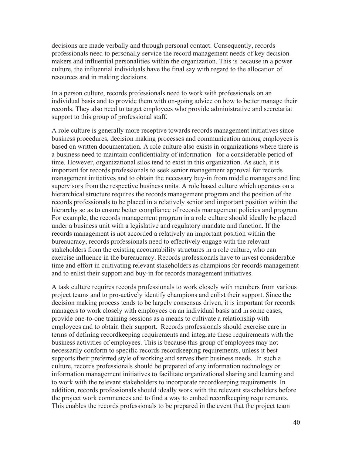decisions are made verbally and through personal contact. Consequently, records professionals need to personally service the record management needs of key decision makers and influential personalities within the organization. This is because in a power culture, the influential individuals have the final say with regard to the allocation of resources and in making decisions.

In a person culture, records professionals need to work with professionals on an individual basis and to provide them with on-going advice on how to better manage their records. They also need to target employees who provide administrative and secretariat support to this group of professional staff.

A role culture is generally more receptive towards records management initiatives since business procedures, decision making processes and communication among employees is based on written documentation. A role culture also exists in organizations where there is a business need to maintain confidentiality of information for a considerable period of time. However, organizational silos tend to exist in this organization. As such, it is important for records professionals to seek senior management approval for records management initiatives and to obtain the necessary buy-in from middle managers and line supervisors from the respective business units. A role based culture which operates on a hierarchical structure requires the records management program and the position of the records professionals to be placed in a relatively senior and important position within the hierarchy so as to ensure better compliance of records management policies and program. For example, the records management program in a role culture should ideally be placed under a business unit with a legislative and regulatory mandate and function. If the records management is not accorded a relatively an important position within the bureaucracy, records professionals need to effectively engage with the relevant stakeholders from the existing accountability structures in a role culture, who can exercise influence in the bureaucracy. Records professionals have to invest considerable time and effort in cultivating relevant stakeholders as champions for records management and to enlist their support and buy-in for records management initiatives.

A task culture requires records professionals to work closely with members from various project teams and to pro-actively identify champions and enlist their support. Since the decision making process tends to be largely consensus driven, it is important for records managers to work closely with employees on an individual basis and in some cases, provide one-to-one training sessions as a means to cultivate a relationship with employees and to obtain their support. Records professionals should exercise care in terms of defining recordkeeping requirements and integrate these requirements with the business activities of employees. This is because this group of employees may not necessarily conform to specific records recordkeeping requirements, unless it best supports their preferred style of working and serves their business needs. In such a culture, records professionals should be prepared of any information technology or information management initiatives to facilitate organizational sharing and learning and to work with the relevant stakeholders to incorporate recordkeeping requirements. In addition, records professionals should ideally work with the relevant stakeholders before the project work commences and to find a way to embed recordkeeping requirements. This enables the records professionals to be prepared in the event that the project team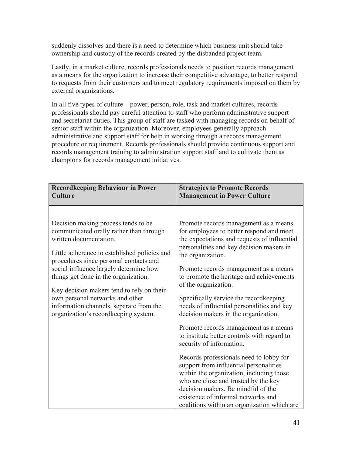suddenly dissolves and there is a need to determine which business unit should take ownership and custody of the records created by the disbanded project team.

Lastly, in a market culture, records professionals needs to position records management as a means for the organization to increase their competitive advantage, to better respond to requests from their customers and to meet regulatory requirements imposed on them by external organizations.

In all five types of culture – power, person, role, task and market cultures, records professionals should pay careful attention to staff who perform administrative support and secretariat duties. This group of staff are tasked with managing records on behalf of senior staff within the organization. Moreover, employees generally approach administrative and support staff for help in working through a records management procedure or requirement. Records professionals should provide continuous support and records management training to administration support staff and to cultivate them as champions for records management initiatives.

| <b>Recordkeeping Behaviour in Power</b>                                                                                                                                                                                                                                                                                                                                                                                                                  | <b>Strategies to Promote Records</b>                                                                                                                                                                                                                                                                                                                                                                                                                                                                                                                                                                                                                                                                                                                                                                                                                                     |
|----------------------------------------------------------------------------------------------------------------------------------------------------------------------------------------------------------------------------------------------------------------------------------------------------------------------------------------------------------------------------------------------------------------------------------------------------------|--------------------------------------------------------------------------------------------------------------------------------------------------------------------------------------------------------------------------------------------------------------------------------------------------------------------------------------------------------------------------------------------------------------------------------------------------------------------------------------------------------------------------------------------------------------------------------------------------------------------------------------------------------------------------------------------------------------------------------------------------------------------------------------------------------------------------------------------------------------------------|
| <b>Culture</b>                                                                                                                                                                                                                                                                                                                                                                                                                                           | <b>Management in Power Culture</b>                                                                                                                                                                                                                                                                                                                                                                                                                                                                                                                                                                                                                                                                                                                                                                                                                                       |
| Decision making process tends to be.<br>communicated orally rather than through<br>written documentation.<br>Little adherence to established policies and<br>procedures since personal contacts and<br>social influence largely determine how<br>things get done in the organization.<br>Key decision makers tend to rely on their<br>own personal networks and other<br>information channels, separate from the<br>organization's recordkeeping system. | Promote records management as a means<br>for employees to better respond and meet<br>the expectations and requests of influential<br>personalities and key decision makers in<br>the organization.<br>Promote records management as a means<br>to promote the heritage and achievements<br>of the organization.<br>Specifically service the record keeping<br>needs of influential personalities and key<br>decision makers in the organization.<br>Promote records management as a means<br>to institute better controls with regard to<br>security of information.<br>Records professionals need to lobby for<br>support from influential personalities<br>within the organization, including those<br>who are close and trusted by the key<br>decision makers. Be mindful of the<br>existence of informal networks and<br>coalitions within an organization which are |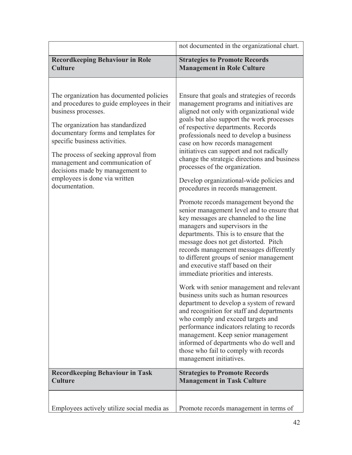|                                                                                                                                                                                                                                                                                                                                                                                             | not documented in the organizational chart.                                                                                                                                                                                                                                                                                                                                                                                                                                                                                                                                                                                                                                                                                                                                                                                                                                                                                                                                                                                                                                                                                                                                                                                                                                                                                                                             |
|---------------------------------------------------------------------------------------------------------------------------------------------------------------------------------------------------------------------------------------------------------------------------------------------------------------------------------------------------------------------------------------------|-------------------------------------------------------------------------------------------------------------------------------------------------------------------------------------------------------------------------------------------------------------------------------------------------------------------------------------------------------------------------------------------------------------------------------------------------------------------------------------------------------------------------------------------------------------------------------------------------------------------------------------------------------------------------------------------------------------------------------------------------------------------------------------------------------------------------------------------------------------------------------------------------------------------------------------------------------------------------------------------------------------------------------------------------------------------------------------------------------------------------------------------------------------------------------------------------------------------------------------------------------------------------------------------------------------------------------------------------------------------------|
| <b>Recordkeeping Behaviour in Role</b><br><b>Culture</b>                                                                                                                                                                                                                                                                                                                                    | <b>Strategies to Promote Records</b><br><b>Management in Role Culture</b>                                                                                                                                                                                                                                                                                                                                                                                                                                                                                                                                                                                                                                                                                                                                                                                                                                                                                                                                                                                                                                                                                                                                                                                                                                                                                               |
| The organization has documented policies<br>and procedures to guide employees in their<br>business processes.<br>The organization has standardized<br>documentary forms and templates for<br>specific business activities.<br>The process of seeking approval from<br>management and communication of<br>decisions made by management to<br>employees is done via written<br>documentation. | Ensure that goals and strategies of records<br>management programs and initiatives are<br>aligned not only with organizational wide<br>goals but also support the work processes<br>of respective departments. Records<br>professionals need to develop a business<br>case on how records management<br>initiatives can support and not radically<br>change the strategic directions and business<br>processes of the organization.<br>Develop organizational-wide policies and<br>procedures in records management.<br>Promote records management beyond the<br>senior management level and to ensure that<br>key messages are channeled to the line<br>managers and supervisors in the<br>departments. This is to ensure that the<br>message does not get distorted. Pitch<br>records management messages differently<br>to different groups of senior management<br>and executive staff based on their<br>immediate priorities and interests.<br>Work with senior management and relevant<br>business units such as human resources<br>department to develop a system of reward<br>and recognition for staff and departments<br>who comply and exceed targets and<br>performance indicators relating to records<br>management. Keep senior management<br>informed of departments who do well and<br>those who fail to comply with records<br>management initiatives. |
| <b>Recordkeeping Behaviour in Task</b><br><b>Culture</b>                                                                                                                                                                                                                                                                                                                                    | <b>Strategies to Promote Records</b><br><b>Management in Task Culture</b>                                                                                                                                                                                                                                                                                                                                                                                                                                                                                                                                                                                                                                                                                                                                                                                                                                                                                                                                                                                                                                                                                                                                                                                                                                                                                               |
| Employees actively utilize social media as                                                                                                                                                                                                                                                                                                                                                  | Promote records management in terms of                                                                                                                                                                                                                                                                                                                                                                                                                                                                                                                                                                                                                                                                                                                                                                                                                                                                                                                                                                                                                                                                                                                                                                                                                                                                                                                                  |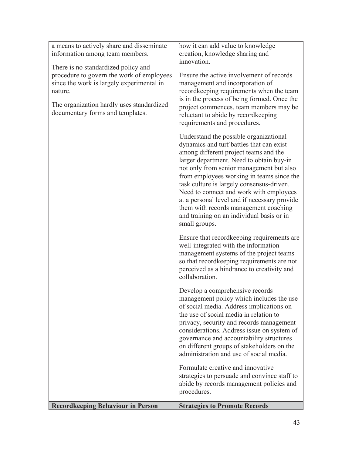| a means to actively share and disseminate | how it can add value to knowledge                                                                                                                                                                                                                                                                                                                                                                                                                                                                               |
|-------------------------------------------|-----------------------------------------------------------------------------------------------------------------------------------------------------------------------------------------------------------------------------------------------------------------------------------------------------------------------------------------------------------------------------------------------------------------------------------------------------------------------------------------------------------------|
| information among team members.           | creation, knowledge sharing and<br>innovation.                                                                                                                                                                                                                                                                                                                                                                                                                                                                  |
| There is no standardized policy and       |                                                                                                                                                                                                                                                                                                                                                                                                                                                                                                                 |
| procedure to govern the work of employees | Ensure the active involvement of records                                                                                                                                                                                                                                                                                                                                                                                                                                                                        |
| since the work is largely experimental in | management and incorporation of                                                                                                                                                                                                                                                                                                                                                                                                                                                                                 |
| nature.                                   | recordkeeping requirements when the team<br>is in the process of being formed. Once the                                                                                                                                                                                                                                                                                                                                                                                                                         |
| The organization hardly uses standardized | project commences, team members may be                                                                                                                                                                                                                                                                                                                                                                                                                                                                          |
| documentary forms and templates.          | reluctant to abide by recordkeeping                                                                                                                                                                                                                                                                                                                                                                                                                                                                             |
|                                           | requirements and procedures.                                                                                                                                                                                                                                                                                                                                                                                                                                                                                    |
|                                           | Understand the possible organizational<br>dynamics and turf battles that can exist<br>among different project teams and the<br>larger department. Need to obtain buy-in<br>not only from senior management but also<br>from employees working in teams since the<br>task culture is largely consensus-driven.<br>Need to connect and work with employees<br>at a personal level and if necessary provide<br>them with records management coaching<br>and training on an individual basis or in<br>small groups. |
|                                           | Ensure that record keeping requirements are<br>well-integrated with the information<br>management systems of the project teams<br>so that recordkeeping requirements are not<br>perceived as a hindrance to creativity and<br>collaboration.                                                                                                                                                                                                                                                                    |
|                                           | Develop a comprehensive records<br>management policy which includes the use<br>of social media. Address implications on<br>the use of social media in relation to<br>privacy, security and records management<br>considerations. Address issue on system of<br>governance and accountability structures<br>on different groups of stakeholders on the<br>administration and use of social media.                                                                                                                |
|                                           | Formulate creative and innovative<br>strategies to persuade and convince staff to<br>abide by records management policies and<br>procedures.                                                                                                                                                                                                                                                                                                                                                                    |
| <b>Recordkeeping Behaviour in Person</b>  | <b>Strategies to Promote Records</b>                                                                                                                                                                                                                                                                                                                                                                                                                                                                            |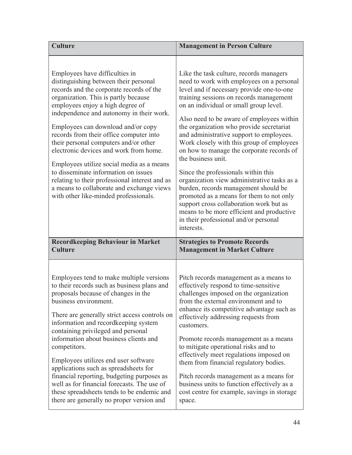| <b>Culture</b>                                                                                                                                                                                                                                                                                                                                                                                                                                                                                                                                                                                                                               | <b>Management in Person Culture</b>                                                                                                                                                                                                                                                                                                                                                                                                                                                                                                                                                                                                                                                                                                                                                                  |
|----------------------------------------------------------------------------------------------------------------------------------------------------------------------------------------------------------------------------------------------------------------------------------------------------------------------------------------------------------------------------------------------------------------------------------------------------------------------------------------------------------------------------------------------------------------------------------------------------------------------------------------------|------------------------------------------------------------------------------------------------------------------------------------------------------------------------------------------------------------------------------------------------------------------------------------------------------------------------------------------------------------------------------------------------------------------------------------------------------------------------------------------------------------------------------------------------------------------------------------------------------------------------------------------------------------------------------------------------------------------------------------------------------------------------------------------------------|
| Employees have difficulties in<br>distinguishing between their personal<br>records and the corporate records of the<br>organization. This is partly because<br>employees enjoy a high degree of<br>independence and autonomy in their work.<br>Employees can download and/or copy<br>records from their office computer into<br>their personal computers and/or other<br>electronic devices and work from home.<br>Employees utilize social media as a means<br>to disseminate information on issues<br>relating to their professional interest and as<br>a means to collaborate and exchange views<br>with other like-minded professionals. | Like the task culture, records managers<br>need to work with employees on a personal<br>level and if necessary provide one-to-one<br>training sessions on records management<br>on an individual or small group level.<br>Also need to be aware of employees within<br>the organization who provide secretariat<br>and administrative support to employees.<br>Work closely with this group of employees<br>on how to manage the corporate records of<br>the business unit.<br>Since the professionals within this<br>organization view administrative tasks as a<br>burden, records management should be<br>promoted as a means for them to not only<br>support cross collaboration work but as<br>means to be more efficient and productive<br>in their professional and/or personal<br>interests. |
| <b>Recordkeeping Behaviour in Market</b>                                                                                                                                                                                                                                                                                                                                                                                                                                                                                                                                                                                                     | <b>Strategies to Promote Records</b>                                                                                                                                                                                                                                                                                                                                                                                                                                                                                                                                                                                                                                                                                                                                                                 |
| <b>Culture</b>                                                                                                                                                                                                                                                                                                                                                                                                                                                                                                                                                                                                                               | <b>Management in Market Culture</b>                                                                                                                                                                                                                                                                                                                                                                                                                                                                                                                                                                                                                                                                                                                                                                  |
| Employees tend to make multiple versions                                                                                                                                                                                                                                                                                                                                                                                                                                                                                                                                                                                                     | Pitch records management as a means to                                                                                                                                                                                                                                                                                                                                                                                                                                                                                                                                                                                                                                                                                                                                                               |
| to their records such as business plans and                                                                                                                                                                                                                                                                                                                                                                                                                                                                                                                                                                                                  | effectively respond to time-sensitive                                                                                                                                                                                                                                                                                                                                                                                                                                                                                                                                                                                                                                                                                                                                                                |
| proposals because of changes in the                                                                                                                                                                                                                                                                                                                                                                                                                                                                                                                                                                                                          | challenges imposed on the organization                                                                                                                                                                                                                                                                                                                                                                                                                                                                                                                                                                                                                                                                                                                                                               |
| business environment.                                                                                                                                                                                                                                                                                                                                                                                                                                                                                                                                                                                                                        | from the external environment and to                                                                                                                                                                                                                                                                                                                                                                                                                                                                                                                                                                                                                                                                                                                                                                 |
| There are generally strict access controls on                                                                                                                                                                                                                                                                                                                                                                                                                                                                                                                                                                                                | enhance its competitive advantage such as                                                                                                                                                                                                                                                                                                                                                                                                                                                                                                                                                                                                                                                                                                                                                            |
| information and recordkeeping system                                                                                                                                                                                                                                                                                                                                                                                                                                                                                                                                                                                                         | effectively addressing requests from                                                                                                                                                                                                                                                                                                                                                                                                                                                                                                                                                                                                                                                                                                                                                                 |
| containing privileged and personal                                                                                                                                                                                                                                                                                                                                                                                                                                                                                                                                                                                                           | customers.                                                                                                                                                                                                                                                                                                                                                                                                                                                                                                                                                                                                                                                                                                                                                                                           |
| information about business clients and                                                                                                                                                                                                                                                                                                                                                                                                                                                                                                                                                                                                       | Promote records management as a means                                                                                                                                                                                                                                                                                                                                                                                                                                                                                                                                                                                                                                                                                                                                                                |
| competitors.                                                                                                                                                                                                                                                                                                                                                                                                                                                                                                                                                                                                                                 | to mitigate operational risks and to                                                                                                                                                                                                                                                                                                                                                                                                                                                                                                                                                                                                                                                                                                                                                                 |
| Employees utilizes end user software                                                                                                                                                                                                                                                                                                                                                                                                                                                                                                                                                                                                         | effectively meet regulations imposed on                                                                                                                                                                                                                                                                                                                                                                                                                                                                                                                                                                                                                                                                                                                                                              |
| applications such as spreadsheets for                                                                                                                                                                                                                                                                                                                                                                                                                                                                                                                                                                                                        | them from financial regulatory bodies.                                                                                                                                                                                                                                                                                                                                                                                                                                                                                                                                                                                                                                                                                                                                                               |
| financial reporting, budgeting purposes as                                                                                                                                                                                                                                                                                                                                                                                                                                                                                                                                                                                                   | Pitch records management as a means for                                                                                                                                                                                                                                                                                                                                                                                                                                                                                                                                                                                                                                                                                                                                                              |
| well as for financial forecasts. The use of                                                                                                                                                                                                                                                                                                                                                                                                                                                                                                                                                                                                  | business units to function effectively as a                                                                                                                                                                                                                                                                                                                                                                                                                                                                                                                                                                                                                                                                                                                                                          |
| these spreadsheets tends to be endemic and                                                                                                                                                                                                                                                                                                                                                                                                                                                                                                                                                                                                   | cost centre for example, savings in storage                                                                                                                                                                                                                                                                                                                                                                                                                                                                                                                                                                                                                                                                                                                                                          |
| there are generally no proper version and                                                                                                                                                                                                                                                                                                                                                                                                                                                                                                                                                                                                    | space.                                                                                                                                                                                                                                                                                                                                                                                                                                                                                                                                                                                                                                                                                                                                                                                               |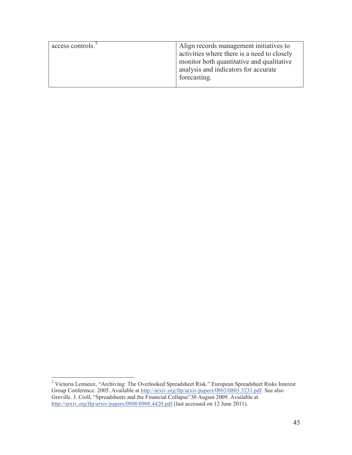| access controls. <sup>5</sup> | Align records management initiatives to     |
|-------------------------------|---------------------------------------------|
|                               | activities where there is a need to closely |
|                               | monitor both quantitative and qualitative   |
|                               | analysis and indicators for accurate        |
|                               | forecasting.                                |
|                               |                                             |

 5 Victoria Lemieux, "Archiving: The Overlooked Spreadsheet Risk." European Spreadsheet Risks Interest Group Conference. 2005. Available at http://arxiv.org/ftp/arxiv/papers/0803/0803.3231.pdf. See also Greville. J. Croll, "Spreadsheets and the Financial Collapse"30 August 2009. Available at http://arxiv.org/ftp/arxiv/papers/0908/0908.4420.pdf (last accessed on 12 June 2011).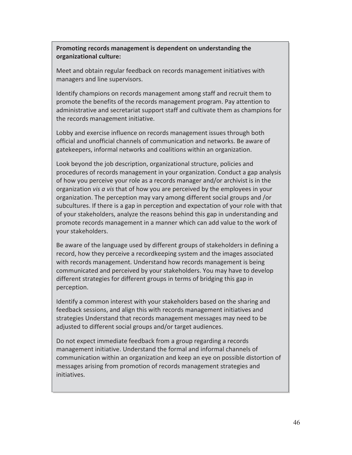**Promoting records management is dependent on understanding the organizational culture:** 

Meet and obtain regular feedback on records management initiatives with managers and line supervisors.

Identify champions on records management among staff and recruit them to promote the benefits of the records management program. Pay attention to administrative and secretariat support staff and cultivate them as champions for the records management initiative.

Lobby and exercise influence on records management issues through both official and unofficial channels of communication and networks. Be aware of gatekeepers, informal networks and coalitions within an organization.

Look beyond the job description, organizational structure, policies and procedures of records management in your organization. Conduct a gap analysis of how you perceive your role as a records manager and/or archivist is in the organization *vis a vis* that of how you are perceived by the employees in your organization. The perception may vary among different social groups and /or subcultures. If there is a gap in perception and expectation of your role with that of your stakeholders, analyze the reasons behind this gap in understanding and promote records management in a manner which can add value to the work of your stakeholders.

Be aware of the language used by different groups of stakeholders in defining a record, how they perceive a recordkeeping system and the images associated with records management. Understand how records management is being communicated and perceived by your stakeholders. You may have to develop different strategies for different groups in terms of bridging this gap in perception.

Identify a common interest with your stakeholders based on the sharing and feedback sessions, and align this with records management initiatives and strategies Understand that records management messages may need to be adjusted to different social groups and/or target audiences.

Do not expect immediate feedback from a group regarding a records management initiative. Understand the formal and informal channels of communication within an organization and keep an eye on possible distortion of messages arising from promotion of records management strategies and initiatives.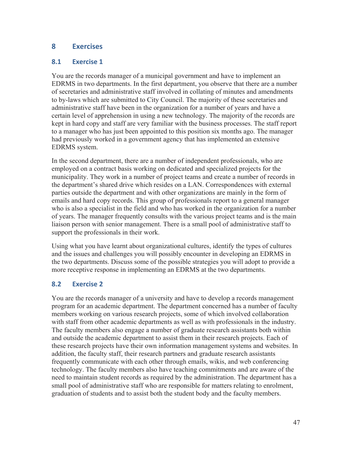# **8 Exercises**

#### **8.1 Exercise 1**

You are the records manager of a municipal government and have to implement an EDRMS in two departments. In the first department, you observe that there are a number of secretaries and administrative staff involved in collating of minutes and amendments to by-laws which are submitted to City Council. The majority of these secretaries and administrative staff have been in the organization for a number of years and have a certain level of apprehension in using a new technology. The majority of the records are kept in hard copy and staff are very familiar with the business processes. The staff report to a manager who has just been appointed to this position six months ago. The manager had previously worked in a government agency that has implemented an extensive EDRMS system.

In the second department, there are a number of independent professionals, who are employed on a contract basis working on dedicated and specialized projects for the municipality. They work in a number of project teams and create a number of records in the department's shared drive which resides on a LAN. Correspondences with external parties outside the department and with other organizations are mainly in the form of emails and hard copy records. This group of professionals report to a general manager who is also a specialist in the field and who has worked in the organization for a number of years. The manager frequently consults with the various project teams and is the main liaison person with senior management. There is a small pool of administrative staff to support the professionals in their work.

Using what you have learnt about organizational cultures, identify the types of cultures and the issues and challenges you will possibly encounter in developing an EDRMS in the two departments. Discuss some of the possible strategies you will adopt to provide a more receptive response in implementing an EDRMS at the two departments.

## **8.2 Exercise 2**

You are the records manager of a university and have to develop a records management program for an academic department. The department concerned has a number of faculty members working on various research projects, some of which involved collaboration with staff from other academic departments as well as with professionals in the industry. The faculty members also engage a number of graduate research assistants both within and outside the academic department to assist them in their research projects. Each of these research projects have their own information management systems and websites. In addition, the faculty staff, their research partners and graduate research assistants frequently communicate with each other through emails, wikis, and web conferencing technology. The faculty members also have teaching commitments and are aware of the need to maintain student records as required by the administration. The department has a small pool of administrative staff who are responsible for matters relating to enrolment, graduation of students and to assist both the student body and the faculty members.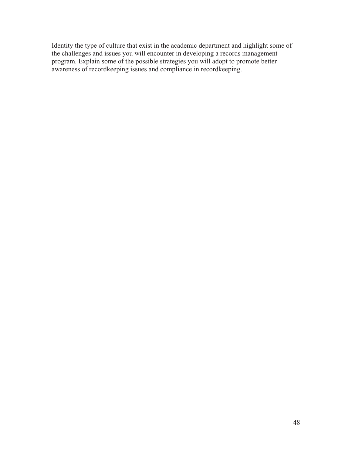Identity the type of culture that exist in the academic department and highlight some of the challenges and issues you will encounter in developing a records management program. Explain some of the possible strategies you will adopt to promote better awareness of recordkeeping issues and compliance in recordkeeping.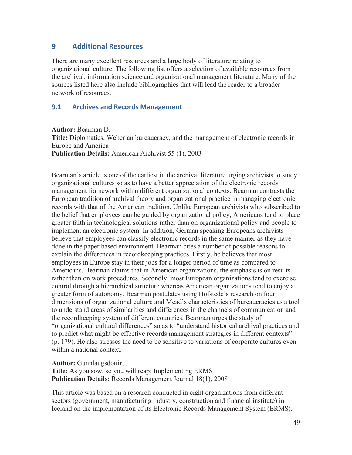#### **9 Additional Resources**

There are many excellent resources and a large body of literature relating to organizational culture. The following list offers a selection of available resources from the archival, information science and organizational management literature. Many of the sources listed here also include bibliographies that will lead the reader to a broader network of resources.

#### **9.1 Archives and Records Management**

**Author:** Bearman D. **Title:** Diplomatics, Weberian bureaucracy, and the management of electronic records in Europe and America **Publication Details:** American Archivist 55 (1), 2003

Bearman's article is one of the earliest in the archival literature urging archivists to study organizational cultures so as to have a better appreciation of the electronic records management framework within different organizational contexts. Bearman contrasts the European tradition of archival theory and organizational practice in managing electronic records with that of the American tradition. Unlike European archivists who subscribed to the belief that employees can be guided by organizational policy, Americans tend to place greater faith in technological solutions rather than on organizational policy and people to implement an electronic system. In addition, German speaking Europeans archivists believe that employees can classify electronic records in the same manner as they have done in the paper based environment. Bearman cites a number of possible reasons to explain the differences in recordkeeping practices. Firstly, he believes that most employees in Europe stay in their jobs for a longer period of time as compared to Americans. Bearman claims that in American organizations, the emphasis is on results rather than on work procedures. Secondly, most European organizations tend to exercise control through a hierarchical structure whereas American organizations tend to enjoy a greater form of autonomy. Bearman postulates using Hofstede's research on four dimensions of organizational culture and Mead's characteristics of bureaucracies as a tool to understand areas of similarities and differences in the channels of communication and the recordkeeping system of different countries. Bearman urges the study of "organizational cultural differences" so as to "understand historical archival practices and to predict what might be effective records management strategies in different contexts" (p. 179). He also stresses the need to be sensitive to variations of corporate cultures even within a national context.

**Author:** Gunnlaugsdottir, J. **Title:** As you sow, so you will reap: Implementing ERMS **Publication Details:** Records Management Journal 18(1), 2008

This article was based on a research conducted in eight organizations from different sectors (government, manufacturing industry, construction and financial institute) in Iceland on the implementation of its Electronic Records Management System (ERMS).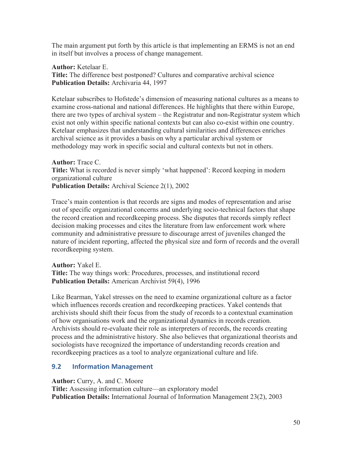The main argument put forth by this article is that implementing an ERMS is not an end in itself but involves a process of change management.

**Author:** Ketelaar E.

**Title:** The difference best postponed? Cultures and comparative archival science **Publication Details:** Archivaria 44, 1997

Ketelaar subscribes to Hofstede's dimension of measuring national cultures as a means to examine cross-national and national differences. He highlights that there within Europe, there are two types of archival system – the Registratur and non-Registratur system which exist not only within specific national contexts but can also co-exist within one country. Ketelaar emphasizes that understanding cultural similarities and differences enriches archival science as it provides a basis on why a particular archival system or methodology may work in specific social and cultural contexts but not in others.

**Author:** Trace C. **Title:** What is recorded is never simply 'what happened': Record keeping in modern organizational culture **Publication Details:** Archival Science 2(1), 2002

Trace's main contention is that records are signs and modes of representation and arise out of specific organizational concerns and underlying socio-technical factors that shape the record creation and recordkeeping process. She disputes that records simply reflect decision making processes and cites the literature from law enforcement work where community and administrative pressure to discourage arrest of juveniles changed the nature of incident reporting, affected the physical size and form of records and the overall recordkeeping system.

**Author:** Yakel E. **Title:** The way things work: Procedures, processes, and institutional record **Publication Details:** American Archivist 59(4), 1996

Like Bearman, Yakel stresses on the need to examine organizational culture as a factor which influences records creation and recordkeeping practices. Yakel contends that archivists should shift their focus from the study of records to a contextual examination of how organisations work and the organizational dynamics in records creation. Archivists should re-evaluate their role as interpreters of records, the records creating process and the administrative history. She also believes that organizational theorists and sociologists have recognized the importance of understanding records creation and recordkeeping practices as a tool to analyze organizational culture and life.

## **9.2 Information Management**

**Author:** Curry, A. and C. Moore

**Title:** Assessing information culture—an exploratory model **Publication Details:** International Journal of Information Management 23(2), 2003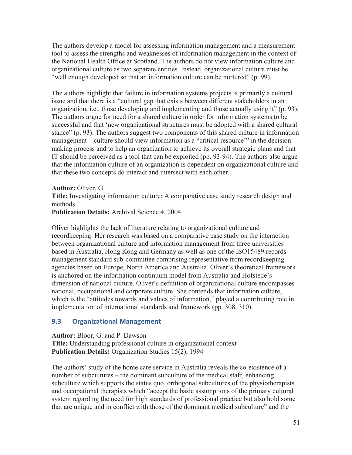The authors develop a model for assessing information management and a measurement tool to assess the strengths and weaknesses of information management in the context of the National Health Office at Scotland. The authors do not view information culture and organizational culture as two separate entities. Instead, organizational culture must be "well enough developed so that an information culture can be nurtured" (p. 99).

The authors highlight that failure in information systems projects is primarily a cultural issue and that there is a "cultural gap that exists between different stakeholders in an organization, i.e., those developing and implementing and those actually using it" (p. 93). The authors argue for need for a shared culture in order for information systems to be successful and that 'new organizational structures must be adopted with a shared cultural stance" (p. 93). The authors suggest two components of this shared culture in information management – culture should view information as a "critical resource'" in the decision making process and to help an organization to achieve its overall strategic plans and that IT should be perceived as a tool that can be exploited (pp. 93-94). The authors also argue that the information culture of an organization is dependent on organizational culture and that these two concepts do interact and intersect with each other.

**Author:** Oliver, G.

**Title:** Investigating information culture: A comparative case study research design and methods

**Publication Details:** Archival Science 4, 2004

Oliver highlights the lack of literature relating to organizational culture and recordkeeping. Her research was based on a comparative case study on the interaction between organizational culture and information management from three universities based in Australia, Hong Kong and Germany as well as one of the ISO15489 records management standard sub-committee comprising representative from recordkeeping agencies based on Europe, North America and Australia. Oliver's theoretical framework is anchored on the information continuum model from Australia and Hofstede's dimension of national culture. Oliver's definition of organizational culture encompasses national, occupational and corporate culture. She contends that information culture, which is the "attitudes towards and values of information," played a contributing role in implementation of international standards and framework (pp. 308, 310).

#### **9.3 Organizational Management**

**Author:** Bloor, G. and P. Dawson **Title:** Understanding professional culture in organizational context **Publication Details:** Organization Studies 15(2), 1994

The authors' study of the home care service in Australia reveals the co-existence of a number of subcultures – the dominant subculture of the medical staff, enhancing subculture which supports the status quo, orthogonal subcultures of the physiotherapists and occupational therapists which "accept the basic assumptions of the primary cultural system regarding the need for high standards of professional practice but also hold some that are unique and in conflict with those of the dominant medical subculture" and the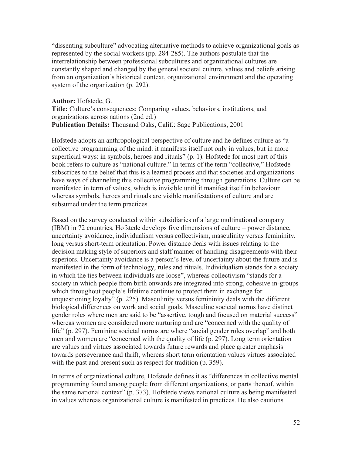"dissenting subculture" advocating alternative methods to achieve organizational goals as represented by the social workers (pp. 284-285). The authors postulate that the interrelationship between professional subcultures and organizational cultures are constantly shaped and changed by the general societal culture, values and beliefs arising from an organization's historical context, organizational environment and the operating system of the organization (p. 292).

**Author:** Hofstede, G. **Title:** Culture's consequences: Comparing values, behaviors, institutions, and organizations across nations (2nd ed.) **Publication Details:** Thousand Oaks, Calif.: Sage Publications, 2001

Hofstede adopts an anthropological perspective of culture and he defines culture as "a collective programming of the mind: it manifests itself not only in values, but in more superficial ways: in symbols, heroes and rituals" (p. 1). Hofstede for most part of this book refers to culture as "national culture." In terms of the term "collective," Hofstede subscribes to the belief that this is a learned process and that societies and organizations have ways of channeling this collective programming through generations. Culture can be manifested in term of values, which is invisible until it manifest itself in behaviour whereas symbols, heroes and rituals are visible manifestations of culture and are subsumed under the term practices.

Based on the survey conducted within subsidiaries of a large multinational company (IBM) in 72 countries, Hofstede develops five dimensions of culture – power distance, uncertainty avoidance, individualism versus collectivism, masculinity versus femininity, long versus short-term orientation. Power distance deals with issues relating to the decision making style of superiors and staff manner of handling disagreements with their superiors. Uncertainty avoidance is a person's level of uncertainty about the future and is manifested in the form of technology, rules and rituals. Individualism stands for a society in which the ties between individuals are loose", whereas collectivism "stands for a society in which people from birth onwards are integrated into strong, cohesive in-groups which throughout people's lifetime continue to protect them in exchange for unquestioning loyalty" (p. 225). Masculinity versus femininity deals with the different biological differences on work and social goals. Masculine societal norms have distinct gender roles where men are said to be "assertive, tough and focused on material success" whereas women are considered more nurturing and are "concerned with the quality of life" (p. 297). Feminine societal norms are where "social gender roles overlap" and both men and women are "concerned with the quality of life (p. 297). Long term orientation are values and virtues associated towards future rewards and place greater emphasis towards perseverance and thrift, whereas short term orientation values virtues associated with the past and present such as respect for tradition (p. 359).

In terms of organizational culture, Hofstede defines it as "differences in collective mental programming found among people from different organizations, or parts thereof, within the same national context" (p. 373). Hofstede views national culture as being manifested in values whereas organizational culture is manifested in practices. He also cautions